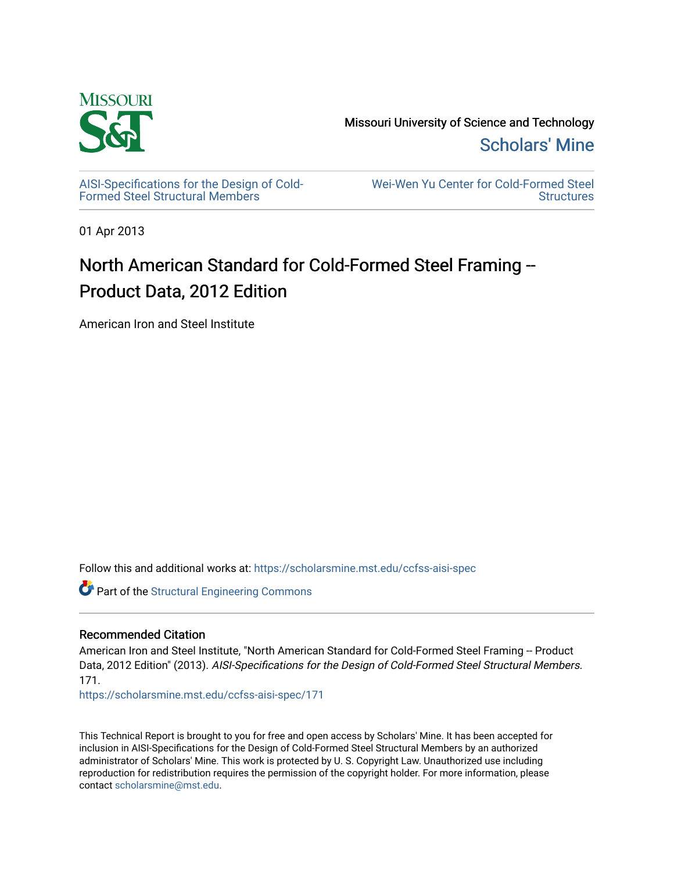

[AISI-Specifications for the Design of Cold-](https://scholarsmine.mst.edu/ccfss-aisi-spec)[Formed Steel Structural Members](https://scholarsmine.mst.edu/ccfss-aisi-spec)

[Wei-Wen Yu Center for Cold-Formed Steel](https://scholarsmine.mst.edu/ccfss)  **Structures** 

01 Apr 2013

# North American Standard for Cold-Formed Steel Framing --Product Data, 2012 Edition

American Iron and Steel Institute

Follow this and additional works at: [https://scholarsmine.mst.edu/ccfss-aisi-spec](https://scholarsmine.mst.edu/ccfss-aisi-spec?utm_source=scholarsmine.mst.edu%2Fccfss-aisi-spec%2F171&utm_medium=PDF&utm_campaign=PDFCoverPages) 

**Part of the Structural Engineering Commons** 

# Recommended Citation

American Iron and Steel Institute, "North American Standard for Cold-Formed Steel Framing -- Product Data, 2012 Edition" (2013). AISI-Specifications for the Design of Cold-Formed Steel Structural Members. 171.

[https://scholarsmine.mst.edu/ccfss-aisi-spec/171](https://scholarsmine.mst.edu/ccfss-aisi-spec/171?utm_source=scholarsmine.mst.edu%2Fccfss-aisi-spec%2F171&utm_medium=PDF&utm_campaign=PDFCoverPages) 

This Technical Report is brought to you for free and open access by Scholars' Mine. It has been accepted for inclusion in AISI-Specifications for the Design of Cold-Formed Steel Structural Members by an authorized administrator of Scholars' Mine. This work is protected by U. S. Copyright Law. Unauthorized use including reproduction for redistribution requires the permission of the copyright holder. For more information, please contact [scholarsmine@mst.edu](mailto:scholarsmine@mst.edu).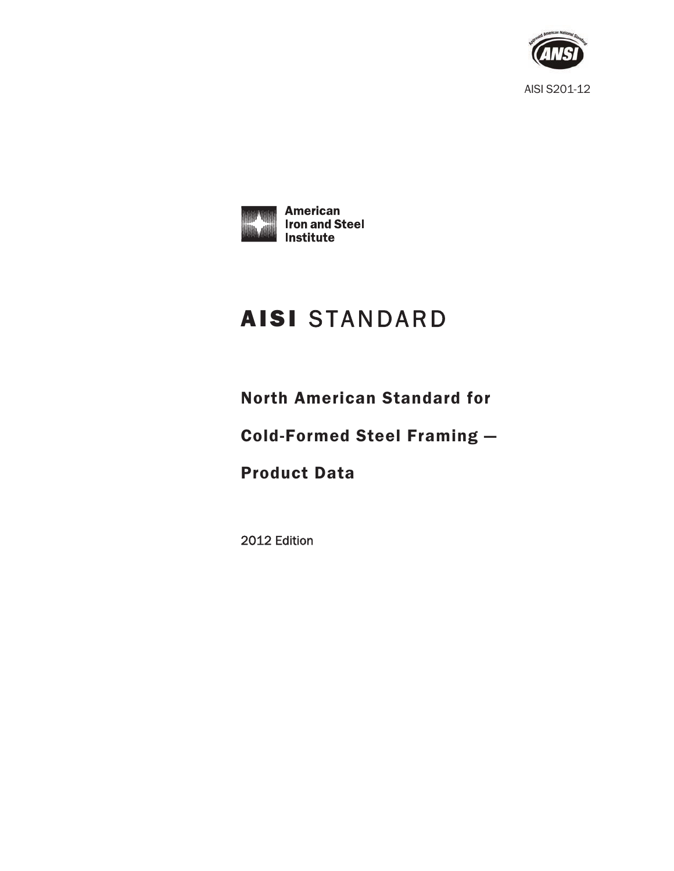

AISI S201-12



# **AISI** STANDARD

North American Standard for

Cold-Formed Steel Framing —

Product Data

2012 Edition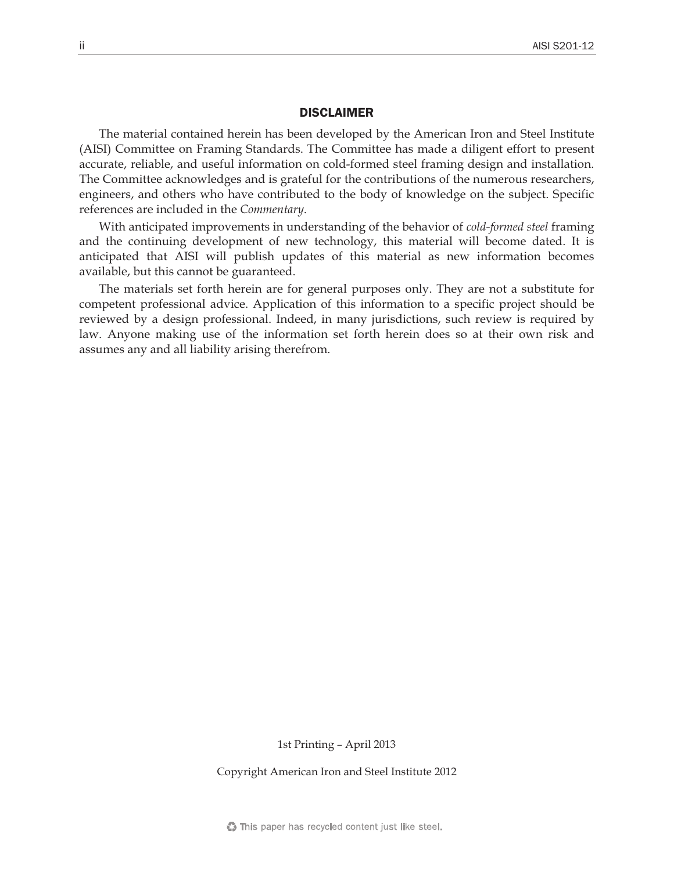#### DISCLAIMER

The material contained herein has been developed by the American Iron and Steel Institute (AISI) Committee on Framing Standards. The Committee has made a diligent effort to present accurate, reliable, and useful information on cold-formed steel framing design and installation. The Committee acknowledges and is grateful for the contributions of the numerous researchers, engineers, and others who have contributed to the body of knowledge on the subject. Specific references are included in the *Commentary*.

With anticipated improvements in understanding of the behavior of *cold-formed steel* framing and the continuing development of new technology, this material will become dated. It is anticipated that AISI will publish updates of this material as new information becomes available, but this cannot be guaranteed.

The materials set forth herein are for general purposes only. They are not a substitute for competent professional advice. Application of this information to a specific project should be reviewed by a design professional. Indeed, in many jurisdictions, such review is required by law. Anyone making use of the information set forth herein does so at their own risk and assumes any and all liability arising therefrom.

1st Printing – April 2013

Copyright American Iron and Steel Institute 2012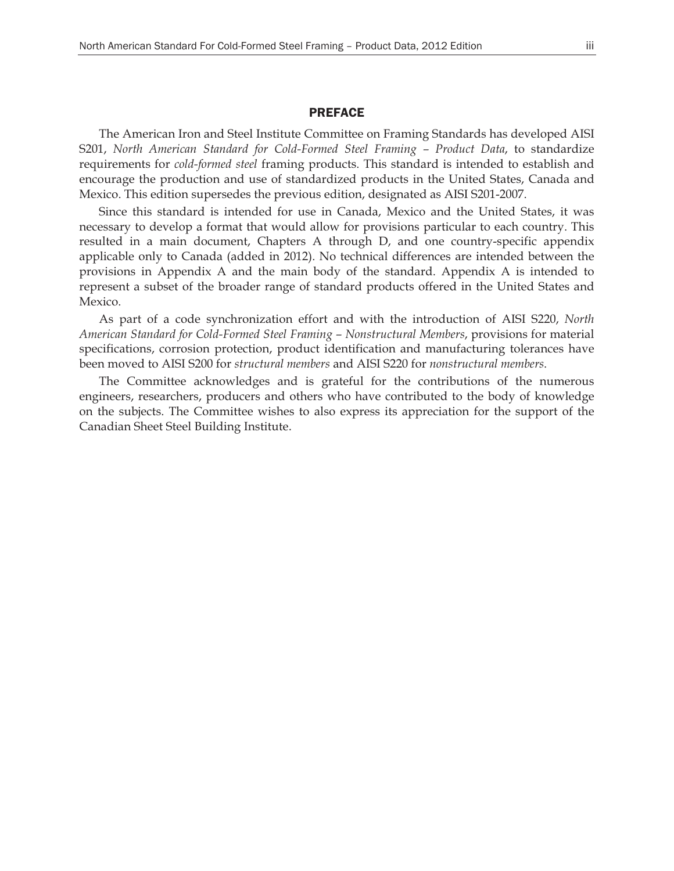#### PREFACE

The American Iron and Steel Institute Committee on Framing Standards has developed AISI S201, *North American Standard for Cold-Formed Steel Framing – Product Data*, to standardize requirements for *cold-formed steel* framing products. This standard is intended to establish and encourage the production and use of standardized products in the United States, Canada and Mexico. This edition supersedes the previous edition, designated as AISI S201-2007.

Since this standard is intended for use in Canada, Mexico and the United States, it was necessary to develop a format that would allow for provisions particular to each country. This resulted in a main document, Chapters A through D, and one country-specific appendix applicable only to Canada (added in 2012). No technical differences are intended between the provisions in Appendix A and the main body of the standard. Appendix A is intended to represent a subset of the broader range of standard products offered in the United States and Mexico.

As part of a code synchronization effort and with the introduction of AISI S220, *North American Standard for Cold-Formed Steel Framing – Nonstructural Members*, provisions for material specifications, corrosion protection, product identification and manufacturing tolerances have been moved to AISI S200 for *structural members* and AISI S220 for *nonstructural members*.

The Committee acknowledges and is grateful for the contributions of the numerous engineers, researchers, producers and others who have contributed to the body of knowledge on the subjects. The Committee wishes to also express its appreciation for the support of the Canadian Sheet Steel Building Institute.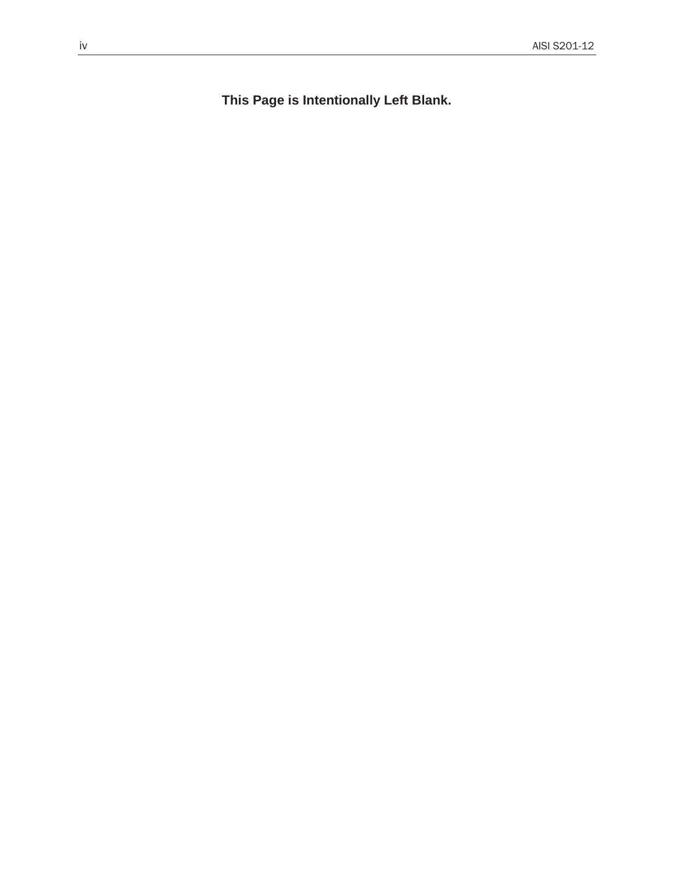**This Page is Intentionally Left Blank.**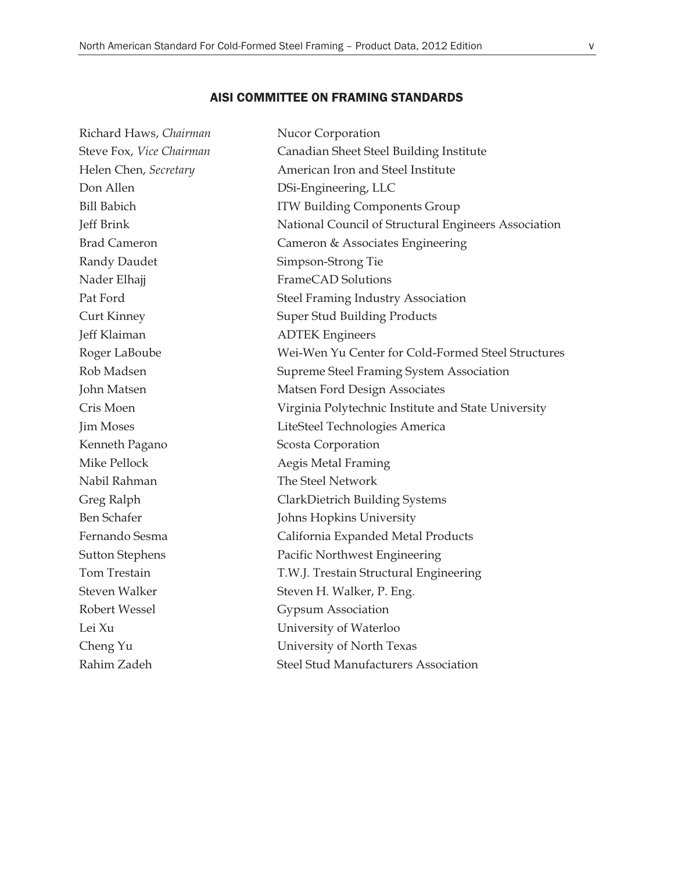# AISI COMMITTEE ON FRAMING STANDARDS

| Richard Haws, Chairman   | Nucor Corporation                                    |
|--------------------------|------------------------------------------------------|
| Steve Fox, Vice Chairman | Canadian Sheet Steel Building Institute              |
| Helen Chen, Secretary    | American Iron and Steel Institute                    |
| Don Allen                | DSi-Engineering, LLC                                 |
| <b>Bill Babich</b>       | <b>ITW Building Components Group</b>                 |
| Jeff Brink               | National Council of Structural Engineers Association |
| <b>Brad Cameron</b>      | Cameron & Associates Engineering                     |
| Randy Daudet             | Simpson-Strong Tie                                   |
| Nader Elhajj             | FrameCAD Solutions                                   |
| Pat Ford                 | <b>Steel Framing Industry Association</b>            |
| Curt Kinney              | <b>Super Stud Building Products</b>                  |
| Jeff Klaiman             | <b>ADTEK Engineers</b>                               |
| Roger LaBoube            | Wei-Wen Yu Center for Cold-Formed Steel Structures   |
| Rob Madsen               | <b>Supreme Steel Framing System Association</b>      |
| John Matsen              | Matsen Ford Design Associates                        |
| Cris Moen                | Virginia Polytechnic Institute and State University  |
| <b>Jim Moses</b>         | LiteSteel Technologies America                       |
| Kenneth Pagano           | Scosta Corporation                                   |
| Mike Pellock             | <b>Aegis Metal Framing</b>                           |
| Nabil Rahman             | The Steel Network                                    |
| Greg Ralph               | ClarkDietrich Building Systems                       |
| <b>Ben Schafer</b>       | Johns Hopkins University                             |
| Fernando Sesma           | California Expanded Metal Products                   |
| <b>Sutton Stephens</b>   | Pacific Northwest Engineering                        |
| Tom Trestain             | T.W.J. Trestain Structural Engineering               |
| <b>Steven Walker</b>     | Steven H. Walker, P. Eng.                            |
| Robert Wessel            | <b>Gypsum Association</b>                            |
| Lei Xu                   | University of Waterloo                               |
| Cheng Yu                 | University of North Texas                            |
| Rahim Zadeh              | <b>Steel Stud Manufacturers Association</b>          |
|                          |                                                      |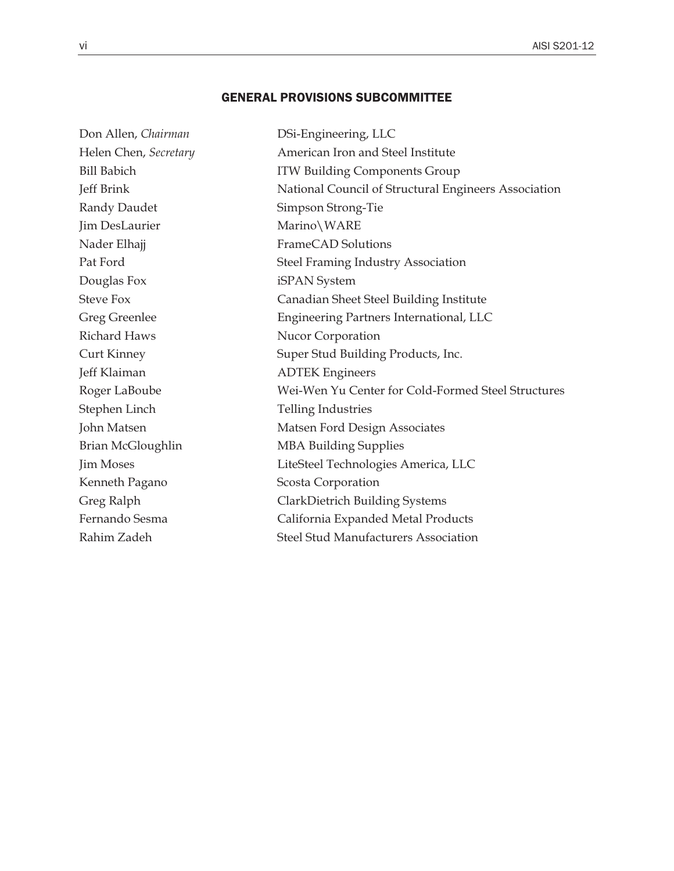# GENERAL PROVISIONS SUBCOMMITTEE

| Don Allen, Chairman   | DSi-Engineering, LLC                                 |
|-----------------------|------------------------------------------------------|
| Helen Chen, Secretary | American Iron and Steel Institute                    |
| <b>Bill Babich</b>    | <b>ITW Building Components Group</b>                 |
| Jeff Brink            | National Council of Structural Engineers Association |
| Randy Daudet          | Simpson Strong-Tie                                   |
| Jim DesLaurier        | Marino\WARE                                          |
| Nader Elhajj          | FrameCAD Solutions                                   |
| Pat Ford              | <b>Steel Framing Industry Association</b>            |
| Douglas Fox           | iSPAN System                                         |
| <b>Steve Fox</b>      | Canadian Sheet Steel Building Institute              |
| <b>Greg Greenlee</b>  | Engineering Partners International, LLC              |
| <b>Richard Haws</b>   | Nucor Corporation                                    |
| <b>Curt Kinney</b>    | Super Stud Building Products, Inc.                   |
| Jeff Klaiman          | <b>ADTEK Engineers</b>                               |
| Roger LaBoube         | Wei-Wen Yu Center for Cold-Formed Steel Structures   |
| Stephen Linch         | Telling Industries                                   |
| John Matsen           | Matsen Ford Design Associates                        |
| Brian McGloughlin     | <b>MBA Building Supplies</b>                         |
| <b>Jim Moses</b>      | LiteSteel Technologies America, LLC                  |
| Kenneth Pagano        | Scosta Corporation                                   |
| Greg Ralph            | <b>ClarkDietrich Building Systems</b>                |
| Fernando Sesma        | California Expanded Metal Products                   |
| Rahim Zadeh           | <b>Steel Stud Manufacturers Association</b>          |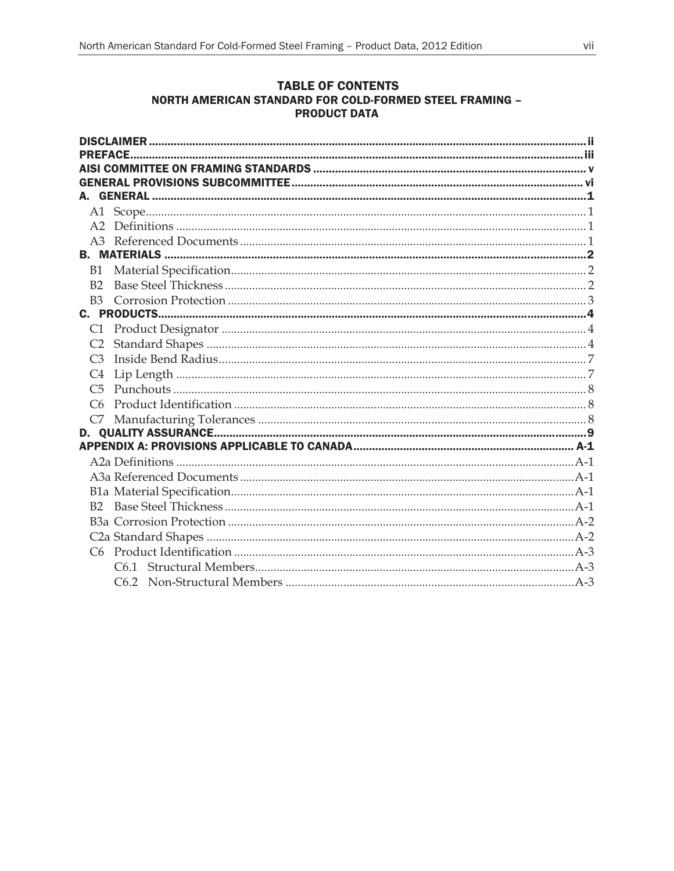# **TABLE OF CONTENTS** NORTH AMERICAN STANDARD FOR COLD-FORMED STEEL FRAMING -**PRODUCT DATA**

| <b>B1</b>      |  |
|----------------|--|
| B2             |  |
| B <sub>3</sub> |  |
|                |  |
|                |  |
|                |  |
|                |  |
|                |  |
|                |  |
|                |  |
|                |  |
|                |  |
|                |  |
|                |  |
|                |  |
|                |  |
| B2             |  |
|                |  |
|                |  |
|                |  |
|                |  |
|                |  |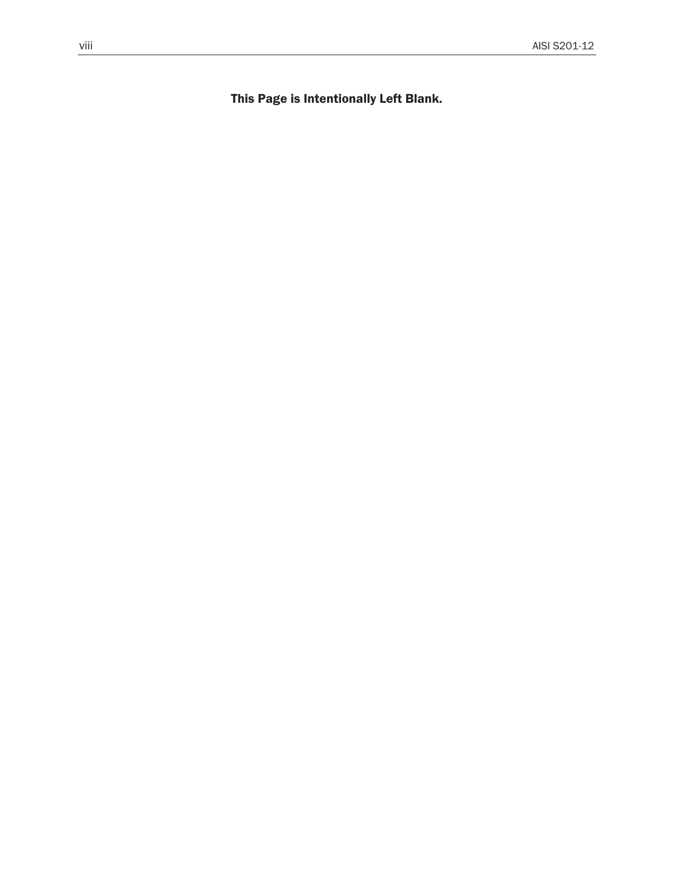This Page is Intentionally Left Blank.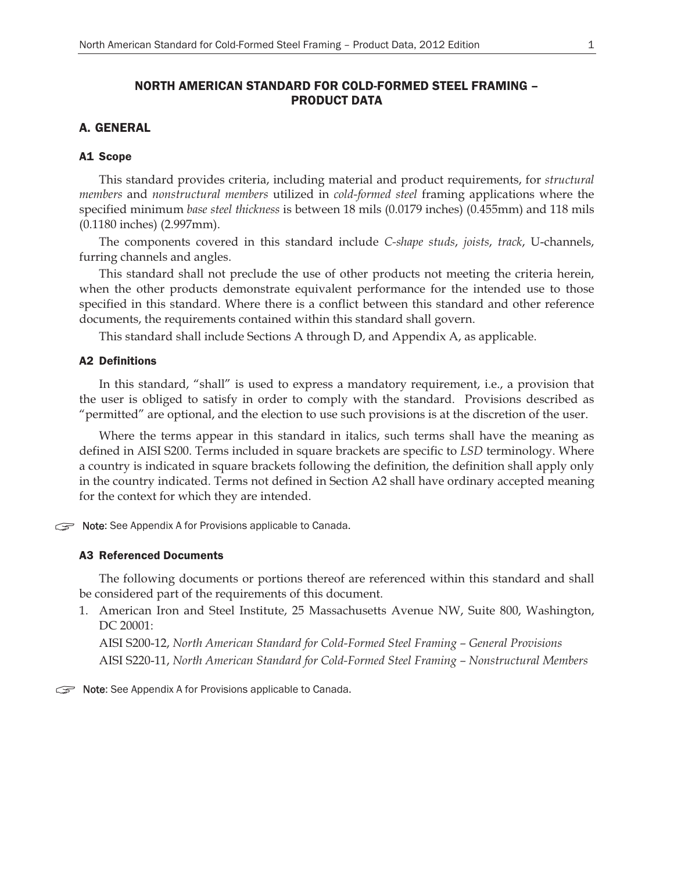# NORTH AMERICAN STANDARD FOR COLD-FORMED STEEL FRAMING – PRODUCT DATA

# A. GENERAL

#### A1 Scope

This standard provides criteria, including material and product requirements, for *structural members* and *nonstructural members* utilized in *cold-formed steel* framing applications where the specified minimum *base steel thickness* is between 18 mils (0.0179 inches) (0.455mm) and 118 mils (0.1180 inches) (2.997mm).

The components covered in this standard include *C-shape studs*, *joists*, *track*, U-channels, furring channels and angles.

This standard shall not preclude the use of other products not meeting the criteria herein, when the other products demonstrate equivalent performance for the intended use to those specified in this standard. Where there is a conflict between this standard and other reference documents, the requirements contained within this standard shall govern.

This standard shall include Sections A through D, and Appendix A, as applicable.

#### A2 Definitions

In this standard, "shall" is used to express a mandatory requirement, i.e., a provision that the user is obliged to satisfy in order to comply with the standard. Provisions described as "permitted" are optional, and the election to use such provisions is at the discretion of the user.

Where the terms appear in this standard in italics, such terms shall have the meaning as defined in AISI S200. Terms included in square brackets are specific to *LSD* terminology. Where a country is indicated in square brackets following the definition, the definition shall apply only in the country indicated. Terms not defined in Section A2 shall have ordinary accepted meaning for the context for which they are intended.

**S** Note: See Appendix A for Provisions applicable to Canada.

#### A3 Referenced Documents

The following documents or portions thereof are referenced within this standard and shall be considered part of the requirements of this document.

1. American Iron and Steel Institute, 25 Massachusetts Avenue NW, Suite 800, Washington, DC 20001:

 AISI S200-12, *North American Standard for Cold-Formed Steel Framing – General Provisions* AISI S220-11, *North American Standard for Cold-Formed Steel Framing – Nonstructural Members*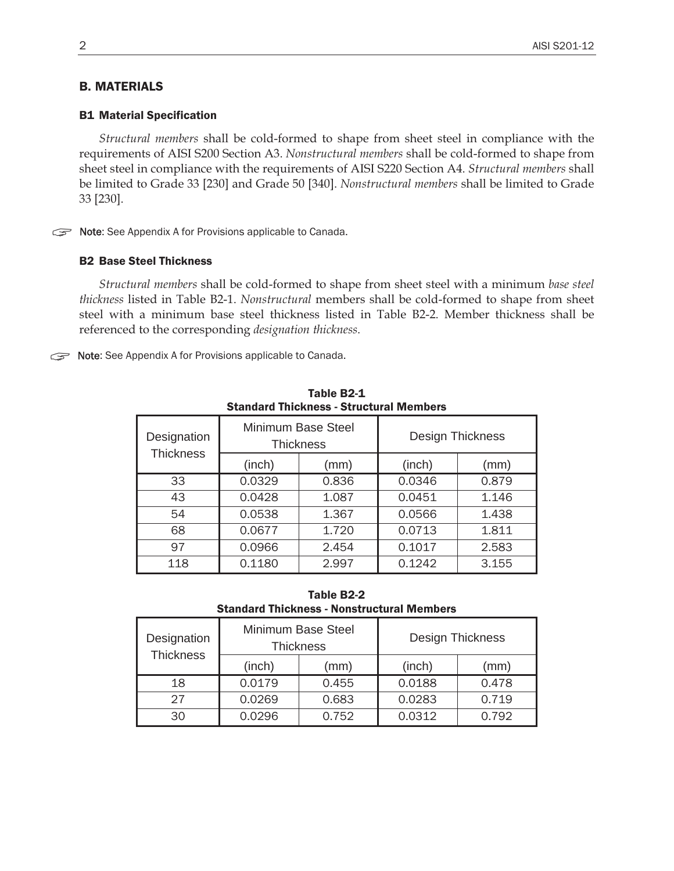# B. MATERIALS

#### B1 Material Specification

*Structural members* shall be cold-formed to shape from sheet steel in compliance with the requirements of AISI S200 Section A3. *Nonstructural members* shall be cold-formed to shape from sheet steel in compliance with the requirements of AISI S220 Section A4. *Structural members* shall be limited to Grade 33 [230] and Grade 50 [340]. *Nonstructural members* shall be limited to Grade 33 [230].

**Note:** See Appendix A for Provisions applicable to Canada.

#### B2 Base Steel Thickness

*Structural members* shall be cold-formed to shape from sheet steel with a minimum *base steel thickness* listed in Table B2-1. *Nonstructural* members shall be cold-formed to shape from sheet steel with a minimum base steel thickness listed in Table B2-2. Member thickness shall be referenced to the corresponding *designation thickness*.

| Stanuaru Thickness - Structural Members |        |                                        |        |                         |  |  |  |  |
|-----------------------------------------|--------|----------------------------------------|--------|-------------------------|--|--|--|--|
| Designation<br><b>Thickness</b>         |        | Minimum Base Steel<br><b>Thickness</b> |        | <b>Design Thickness</b> |  |  |  |  |
|                                         | (inch) | (mm)                                   | (inch) | (mm)                    |  |  |  |  |
| 33                                      | 0.0329 | 0.836                                  | 0.0346 | 0.879                   |  |  |  |  |
| 43                                      | 0.0428 | 1.087                                  | 0.0451 | 1.146                   |  |  |  |  |
| 54                                      | 0.0538 | 1.367                                  | 0.0566 | 1.438                   |  |  |  |  |
| 68                                      | 0.0677 | 1.720                                  | 0.0713 | 1.811                   |  |  |  |  |
| 97                                      | 0.0966 | 2.454                                  | 0.1017 | 2.583                   |  |  |  |  |
| 118                                     | 0.1180 | 2.997                                  | 0.1242 | 3.155                   |  |  |  |  |
|                                         |        |                                        |        |                         |  |  |  |  |

Table B2-1 Standard Thiokness Structural Members

Table B2-2 Standard Thickness - Nonstructural Members

| Designation<br><b>Thickness</b> |        | Minimum Base Steel<br><b>Thickness</b> | Design Thickness |       |  |
|---------------------------------|--------|----------------------------------------|------------------|-------|--|
|                                 | (inch) | (mm)                                   | (inch)           | (mm)  |  |
| 18                              | 0.0179 | 0.455                                  | 0.0188           | 0.478 |  |
| 27                              | 0.0269 | 0.683                                  | 0.0283           | 0.719 |  |
| 30                              | 0.0296 | 0.752                                  | 0.0312           | 0.792 |  |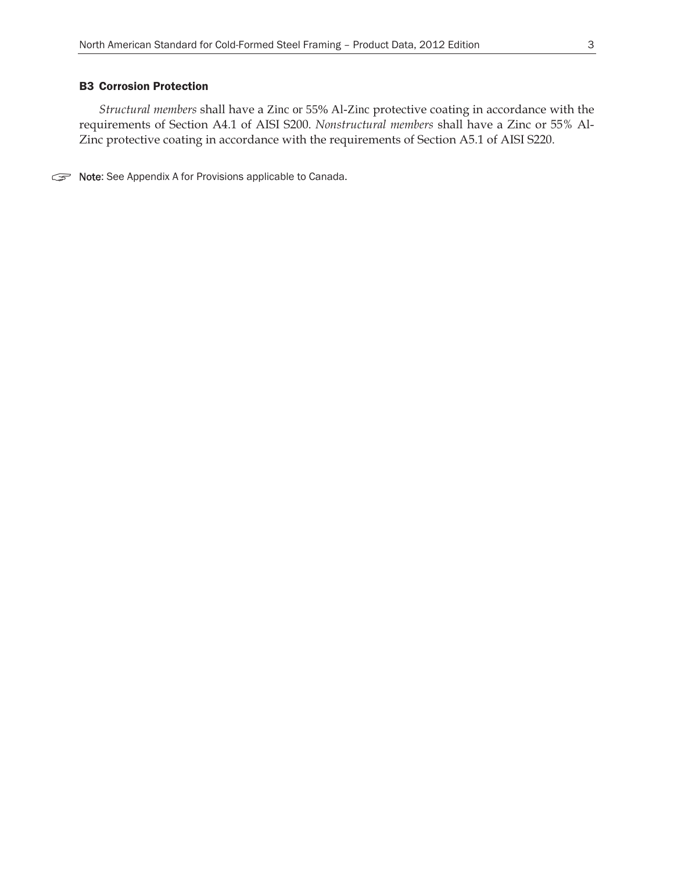# B3 Corrosion Protection

*Structural members* shall have a Zinc or 55% Al-Zinc protective coating in accordance with the requirements of Section A4.1 of AISI S200. *Nonstructural members* shall have a Zinc or 55% Al-Zinc protective coating in accordance with the requirements of Section A5.1 of AISI S220.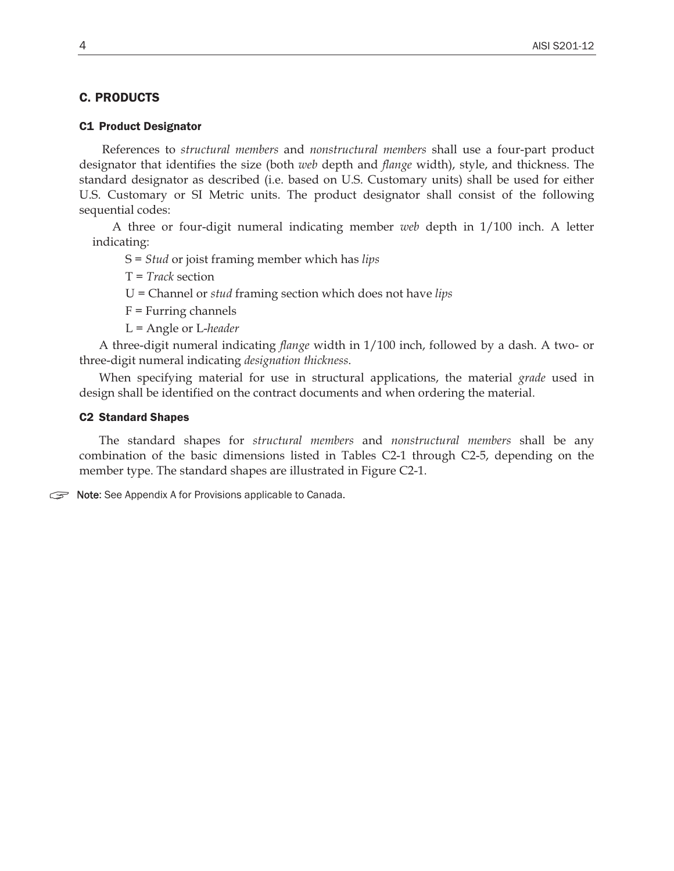# C. PRODUCTS

#### C1 Product Designator

 References to *structural members* and *nonstructural members* shall use a four-part product designator that identifies the size (both *web* depth and *flange* width), style, and thickness. The standard designator as described (i.e. based on U.S. Customary units) shall be used for either U.S. Customary or SI Metric units. The product designator shall consist of the following sequential codes:

A three or four-digit numeral indicating member *web* depth in 1/100 inch. A letter indicating:

S = *Stud* or joist framing member which has *lips*

T = *Track* section

U = Channel or *stud* framing section which does not have *lips*

 $F =$  Furring channels

L = Angle or L-*header*

A three-digit numeral indicating *flange* width in 1/100 inch, followed by a dash. A two- or three-digit numeral indicating *designation thickness*.

When specifying material for use in structural applications, the material *grade* used in design shall be identified on the contract documents and when ordering the material.

#### C2 Standard Shapes

The standard shapes for *structural members* and *nonstructural members* shall be any combination of the basic dimensions listed in Tables C2-1 through C2-5, depending on the member type. The standard shapes are illustrated in Figure C2-1.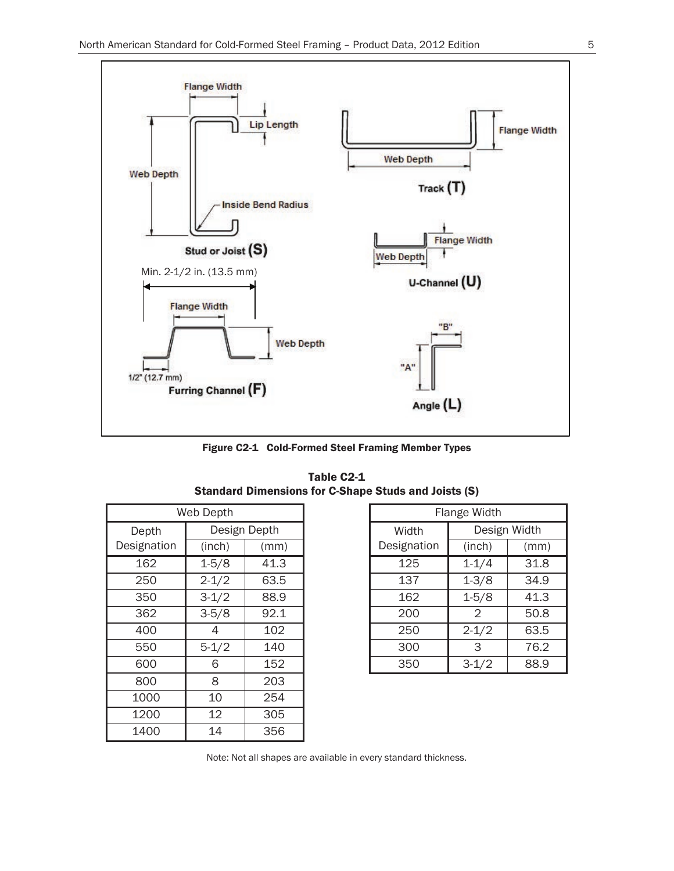

Figure C2-1 Cold-Formed Steel Framing Member Types

Table C2-1 Standard Dimensions for C-Shape Studs and Joists (S)

|             | Web Depth |              |             | Flange Width |              |
|-------------|-----------|--------------|-------------|--------------|--------------|
| Depth       |           | Design Depth | Width       |              | Design Width |
| Designation | (inch)    | (mm)         | Designation | (inch)       | (mm)         |
| 162         | $1 - 5/8$ | 41.3         | 125         | $1 - 1/4$    | 31.8         |
| 250         | $2 - 1/2$ | 63.5         | 137         | $1 - 3/8$    | 34.9         |
| 350         | $3-1/2$   | 88.9         | 162         | $1 - 5/8$    | 41.3         |
| 362         | $3-5/8$   | 92.1         | 200         | 2            | 50.8         |
| 400         | 4         | 102          | 250         | $2 - 1/2$    | 63.5         |
| 550         | $5-1/2$   | 140          | 300         | 3            | 76.2         |
| 600         | 6         | 152          | 350         | $3-1/2$      | 88.9         |
| 800         | 8         | 203          |             |              |              |
| 1000        | 10        | 254          |             |              |              |
| 1200        | 12        | 305          |             |              |              |
| 1400        | 14        | 356          |             |              |              |

| Web Depth |           |              | Flange Width |               |              |
|-----------|-----------|--------------|--------------|---------------|--------------|
| Depth     |           | Design Depth | Width        |               | Design Width |
| signation | (inch)    | (mm)         | Designation  | (inch)        | (mm)         |
| 162       | $1 - 5/8$ | 41.3         | 125          | $1 - 1/4$     | 31.8         |
| 250       | $2 - 1/2$ | 63.5         | 137          | $1 - 3/8$     | 34.9         |
| 350       | $3-1/2$   | 88.9         | 162          | $1 - 5/8$     | 41.3         |
| 362       | $3-5/8$   | 92.1         | 200          | $\mathcal{D}$ | 50.8         |
| 400       | 4         | 102          | 250          | $2 - 1/2$     | 63.5         |
| 550       | $5-1/2$   | 140          | 300          | 3             | 76.2         |
| 600       | 6         | 152          | 350          | $3-1/2$       | 88.9         |

Note: Not all shapes are available in every standard thickness.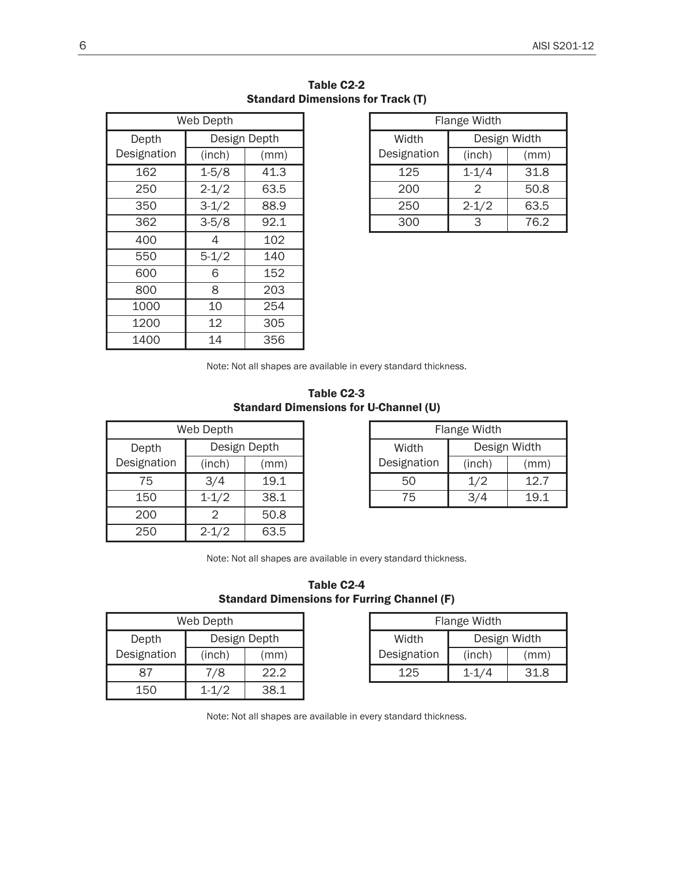| Web Depth   |                               |              |        |       |           | Flange Width |  |
|-------------|-------------------------------|--------------|--------|-------|-----------|--------------|--|
| Depth       |                               | Design Depth |        | Width |           | Design Width |  |
| Designation | Designation<br>(inch)<br>(mm) |              | (inch) | (mm)  |           |              |  |
| 162         | $1 - 5/8$                     | 41.3         |        | 125   | $1 - 1/4$ | 31.8         |  |
| 250         | $2 - 1/2$                     | 63.5         |        | 200   | 2         | 50.8         |  |
| 350         | $3-1/2$                       | 88.9         |        | 250   | $2 - 1/2$ | 63.5         |  |
| 362         | $3 - 5/8$                     | 92.1         |        | 300   | 3         | 76.2         |  |
| 400         | 4                             | 102          |        |       |           |              |  |
| 550         | $5-1/2$                       | 140          |        |       |           |              |  |
| 600         | 6                             | 152          |        |       |           |              |  |
| 800         | 8                             | 203          |        |       |           |              |  |
| 1000        | 10                            | 254          |        |       |           |              |  |
| 1200        | 12                            | 305          |        |       |           |              |  |
| 1400        | 14                            | 356          |        |       |           |              |  |

| Table C2-2                               |  |  |
|------------------------------------------|--|--|
| <b>Standard Dimensions for Track (T)</b> |  |  |

| Web Depth |           |              | Flange Width |           |              |
|-----------|-----------|--------------|--------------|-----------|--------------|
| epth      |           | Design Depth | Width        |           | Design Width |
| ignation  | (inch)    | (mm)         | Designation  | (inch)    | (mm)         |
| 162       | $1 - 5/8$ | 41.3         | 125          | $1 - 1/4$ | 31.8         |
| 250       | $2 - 1/2$ | 63.5         | 200          | 2         | 50.8         |
| 350       | $3-1/2$   | 88.9         | 250          | $2 - 1/2$ | 63.5         |
| 362       | $3-5/8$   | 92.1         | 300          | 3         | 76.2         |

Note: Not all shapes are available in every standard thickness.

Table C2-3 Standard Dimensions for U-Channel (U)

|             | Web Depth    |      |             | Flange Width |              |
|-------------|--------------|------|-------------|--------------|--------------|
| Depth       | Design Depth |      | Width       |              | Design Width |
| Designation | (inch)       | (mm) | Designation | (inch)       | (mm)         |
| 75          | 3/4          | 19.1 | 50          | 1/2          | 12.7         |
| 150         | $1 - 1/2$    | 38.1 | 75          | 3/4          | 19.1         |
| 200         | 2            | 50.8 |             |              |              |
| 250         | $2 - 1/2$    | 63.5 |             |              |              |

| Web Depth |           |              |  |             | Flange Width |      |
|-----------|-----------|--------------|--|-------------|--------------|------|
| Depth     |           | Design Depth |  | Width       | Design Width |      |
| signation | (inch)    | mm)          |  | Designation | (inch)       | (mm  |
| 75        | 3/4       | 19.1         |  | 50          | 1/2          | 12.7 |
| 150       | $1 - 1/2$ | 38.1         |  | 75          | 3/4          | 19.1 |

Note: Not all shapes are available in every standard thickness.

Table C2-4 Standard Dimensions for Furring Channel (F)

|             | Web Depth |              |             | Flange Width |              |
|-------------|-----------|--------------|-------------|--------------|--------------|
| Depth       |           | Design Depth | Width       |              | Design Width |
| Designation | (inch)    | (mm)         | Designation | (inch)       | (mm)         |
| 87          | 7/8       | 22.2         | 125         | $1 - 1/4$    | 31.8         |
| 150         | $1 - 1/2$ | 38.1         |             |              |              |

Note: Not all shapes are available in every standard thickness.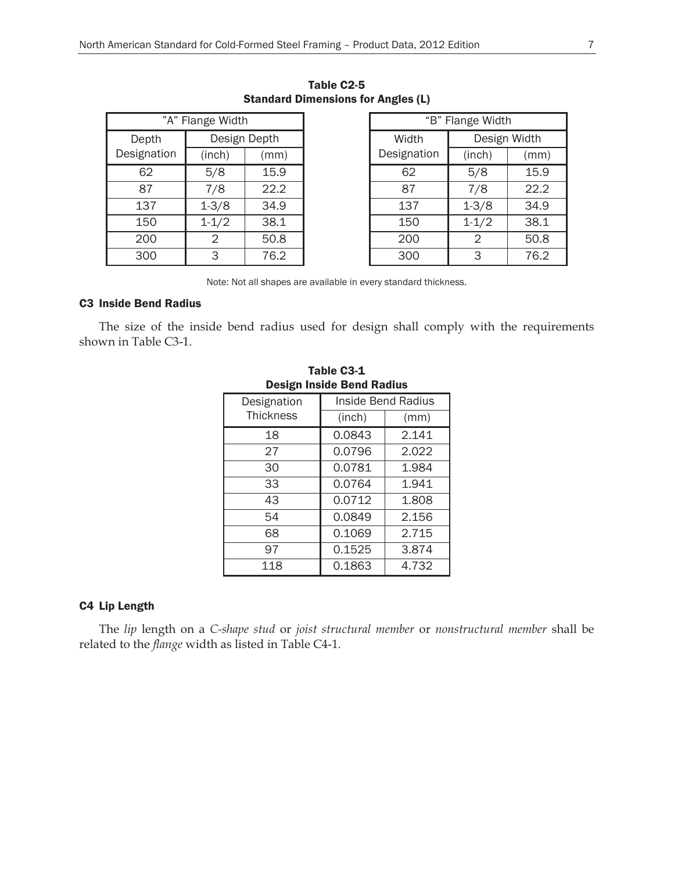| "A" Flange Width |              |      |             |              | "B" Flange Width |  |
|------------------|--------------|------|-------------|--------------|------------------|--|
| Depth            | Design Depth |      | Width       | Design Width |                  |  |
| Designation      | (inch)       | (mm) | Designation | (inch)       | (mm)             |  |
| 62               | 5/8          | 15.9 | 62          | 5/8          | 15.9             |  |
| 87               | 7/8          | 22.2 | 87          | 7/8          | 22.2             |  |
| 137              | $1 - 3/8$    | 34.9 | 137         | $1 - 3/8$    | 34.9             |  |
| 150              | $1 - 1/2$    | 38.1 | 150         | $1 - 1/2$    | 38.1             |  |
| 200              | 2            | 50.8 | 200         | 2            | 50.8             |  |
| 300              | 3            | 76.2 | 300         | 3            | 76.2             |  |

| Table C <sub>2</sub> -5                   |  |
|-------------------------------------------|--|
| <b>Standard Dimensions for Angles (L)</b> |  |

| "A" Flange Width |              |      |  | "B" Flange Width |           |      |  |              |
|------------------|--------------|------|--|------------------|-----------|------|--|--------------|
| epth             | Design Depth |      |  |                  |           |      |  | Design Width |
| ignation         | (inch)       | (mm) |  | Designation      | (inch)    | (mm) |  |              |
| 62               | 5/8          | 15.9 |  | 62               | 5/8       | 15.9 |  |              |
| 87               | 7/8          | 22.2 |  | 87               | 7/8       | 22.2 |  |              |
| 137              | $1 - 3/8$    | 34.9 |  | 137              | $1 - 3/8$ | 34.9 |  |              |
| 150              | $1 - 1/2$    | 38.1 |  | 150              | $1 - 1/2$ | 38.1 |  |              |
| 200              | 2            | 50.8 |  | 200              | 2         | 50.8 |  |              |
| 300              | З            | 76.2 |  | 300              | 3         | 76.2 |  |              |

Note: Not all shapes are available in every standard thickness.

# C3 Inside Bend Radius

The size of the inside bend radius used for design shall comply with the requirements shown in Table C3-1.

Table C3-1

| <b>Design Inside Bend Radius</b> |                    |       |  |  |  |  |
|----------------------------------|--------------------|-------|--|--|--|--|
| Designation                      | Inside Bend Radius |       |  |  |  |  |
| <b>Thickness</b>                 | (inch)             | (mm)  |  |  |  |  |
| 18                               | 0.0843             | 2.141 |  |  |  |  |
| 27                               | 0.0796             | 2.022 |  |  |  |  |
| 30                               | 0.0781             | 1.984 |  |  |  |  |
| 33                               | 0.0764             | 1.941 |  |  |  |  |
| 43                               | 0.0712             | 1.808 |  |  |  |  |
| 54                               | 0.0849             | 2.156 |  |  |  |  |
| 68                               | 0.1069             | 2.715 |  |  |  |  |
| 97                               | 0.1525             | 3.874 |  |  |  |  |
| 118                              | 0.1863             | 4.732 |  |  |  |  |

## C4 Lip Length

The *lip* length on a *C-shape stud* or *joist structural member* or *nonstructural member* shall be related to the *flange* width as listed in Table C4-1.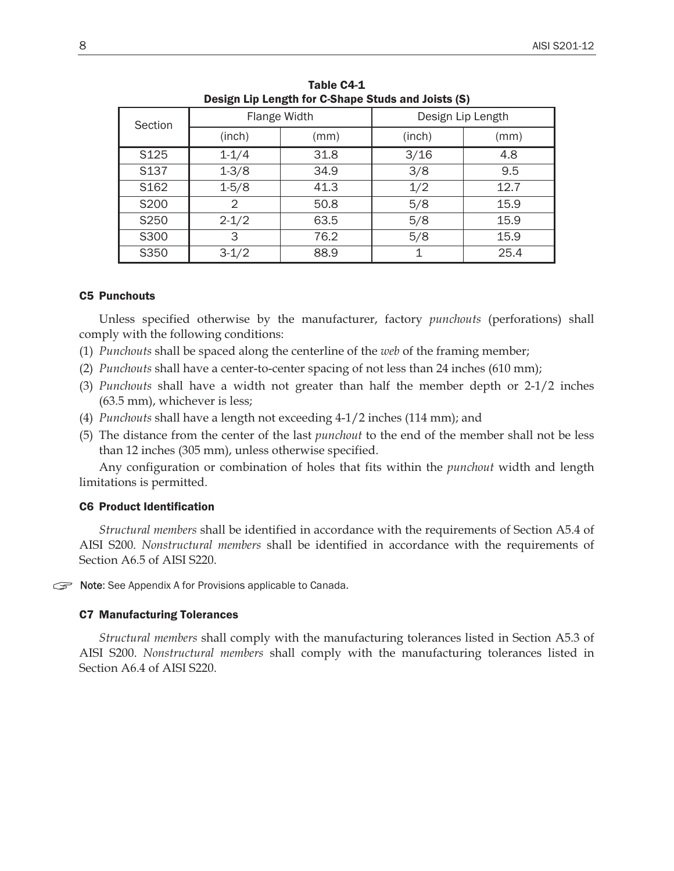| <b>POSING FIR EQUIPRIL TOL O ORGAN OTHER SHOPS (O)</b> |           |              |                   |      |  |  |
|--------------------------------------------------------|-----------|--------------|-------------------|------|--|--|
| Section                                                |           | Flange Width | Design Lip Length |      |  |  |
|                                                        | (inch)    | (mm)         | (inch)            | (mm) |  |  |
| S <sub>125</sub>                                       | $1 - 1/4$ | 31.8         | 3/16              | 4.8  |  |  |
| S <sub>137</sub>                                       | $1 - 3/8$ | 34.9         | 3/8               | 9.5  |  |  |
| S <sub>162</sub>                                       | $1 - 5/8$ | 41.3         | 1/2               | 12.7 |  |  |
| S200                                                   | 2         | 50.8         | 5/8               | 15.9 |  |  |
| S250                                                   | $2 - 1/2$ | 63.5         | 5/8               | 15.9 |  |  |
| S300                                                   | 3         | 76.2         | 5/8               | 15.9 |  |  |
| S350                                                   | $3-1/2$   | 88.9         |                   | 25.4 |  |  |

Table C4-1 Design Lip Length for C-Shape Studs and Joists (S)

#### C5 Punchouts

Unless specified otherwise by the manufacturer, factory *punchouts* (perforations) shall comply with the following conditions:

- (1) *Punchouts* shall be spaced along the centerline of the *web* of the framing member;
- (2) *Punchouts* shall have a center-to-center spacing of not less than 24 inches (610 mm);
- (3) *Punchouts* shall have a width not greater than half the member depth or 2-1/2 inches (63.5 mm), whichever is less;
- (4) *Punchouts* shall have a length not exceeding 4-1/2 inches (114 mm); and
- (5) The distance from the center of the last *punchout* to the end of the member shall not be less than 12 inches (305 mm), unless otherwise specified.

Any configuration or combination of holes that fits within the *punchout* width and length limitations is permitted.

#### C6 Product Identification

*Structural members* shall be identified in accordance with the requirements of Section A5.4 of AISI S200. *Nonstructural members* shall be identified in accordance with the requirements of Section A6.5 of AISI S220.

**S** Note: See Appendix A for Provisions applicable to Canada.

### C7 Manufacturing Tolerances

*Structural members* shall comply with the manufacturing tolerances listed in Section A5.3 of AISI S200. *Nonstructural members* shall comply with the manufacturing tolerances listed in Section A6.4 of AISI S220.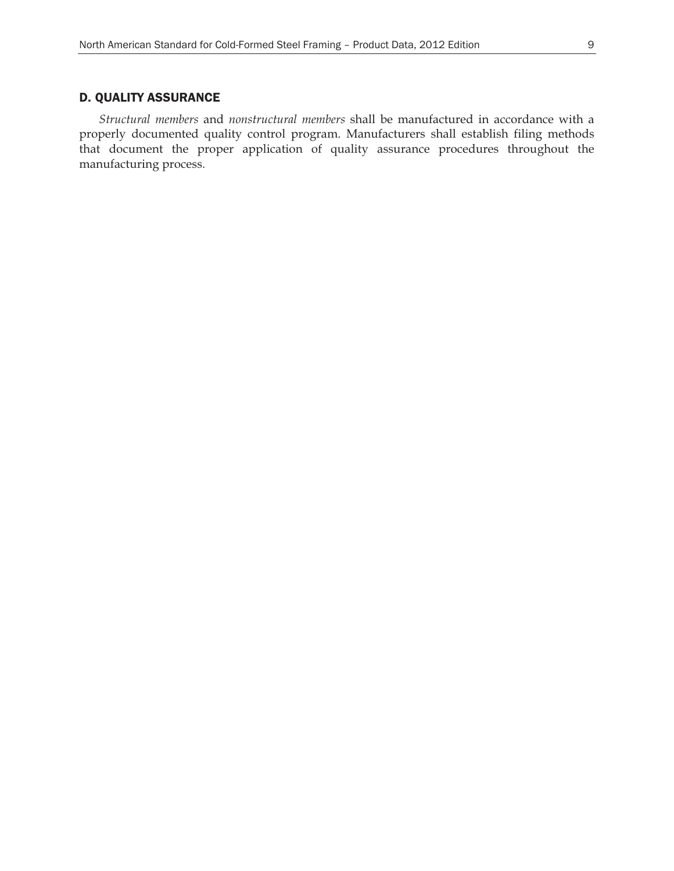# D. QUALITY ASSURANCE

*Structural members* and *nonstructural members* shall be manufactured in accordance with a properly documented quality control program. Manufacturers shall establish filing methods that document the proper application of quality assurance procedures throughout the manufacturing process.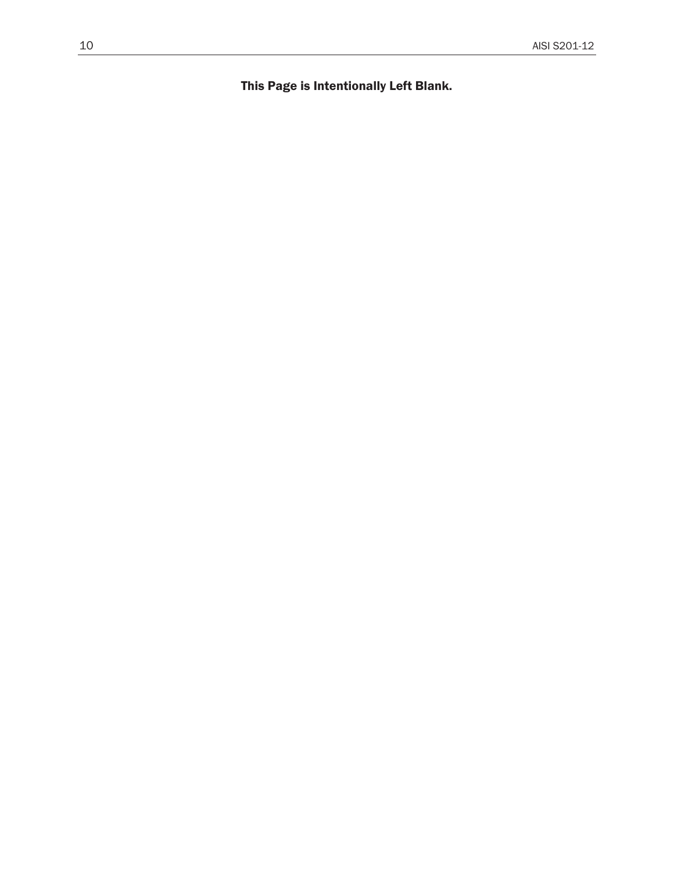This Page is Intentionally Left Blank.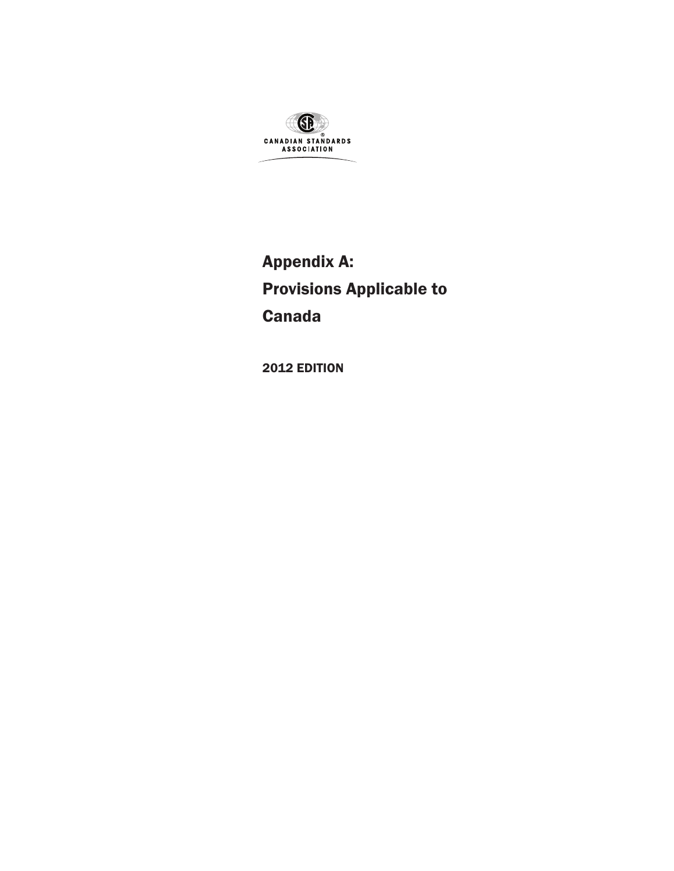

Appendix A: Provisions Applicable to Canada

2012 EDITION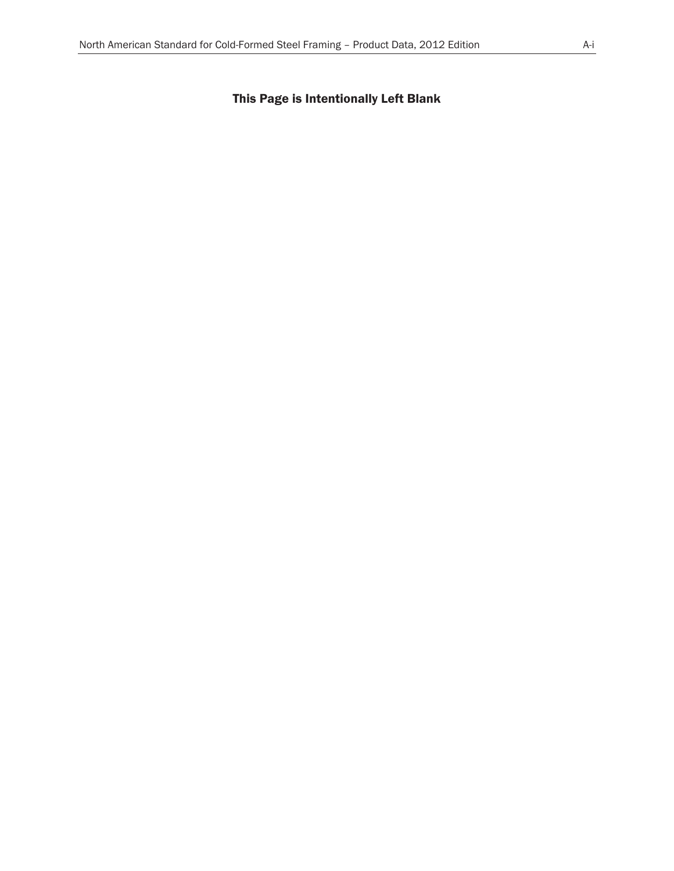# This Page is Intentionally Left Blank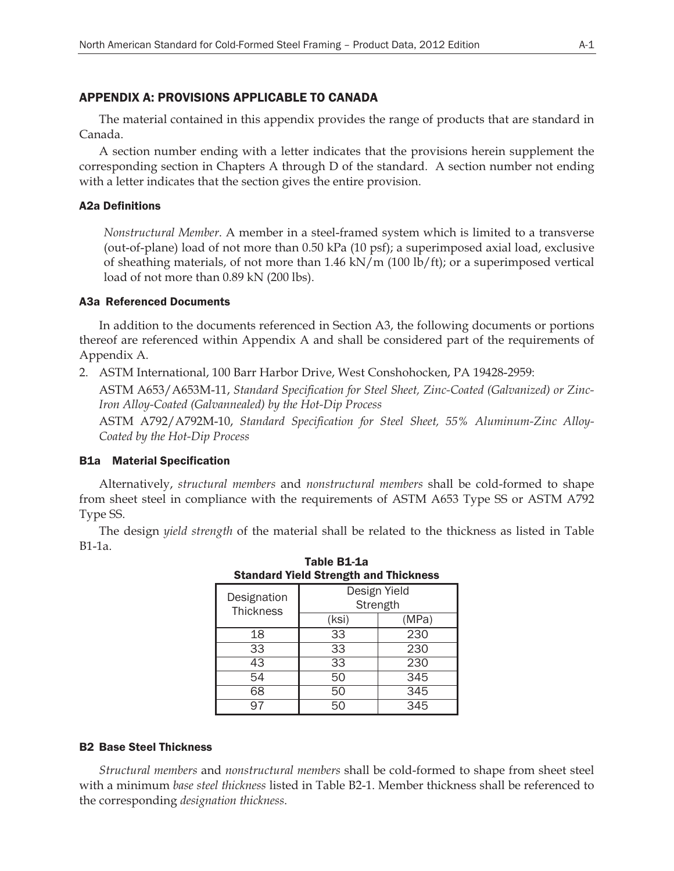# APPENDIX A: PROVISIONS APPLICABLE TO CANADA

The material contained in this appendix provides the range of products that are standard in Canada.

A section number ending with a letter indicates that the provisions herein supplement the corresponding section in Chapters A through D of the standard. A section number not ending with a letter indicates that the section gives the entire provision.

## A2a Definitions

*Nonstructural Member*. A member in a steel-framed system which is limited to a transverse (out-of-plane) load of not more than 0.50 kPa (10 psf); a superimposed axial load, exclusive of sheathing materials, of not more than  $1.46 \text{ kN/m}$  (100 lb/ft); or a superimposed vertical load of not more than 0.89 kN (200 lbs).

## A3a Referenced Documents

In addition to the documents referenced in Section A3, the following documents or portions thereof are referenced within Appendix A and shall be considered part of the requirements of Appendix A.

2. ASTM International, 100 Barr Harbor Drive, West Conshohocken, PA 19428-2959:

 ASTM A653/A653M-11, *Standard Specification for Steel Sheet, Zinc-Coated (Galvanized) or Zinc-Iron Alloy-Coated (Galvannealed) by the Hot-Dip Process*

 ASTM A792/A792M-10, *Standard Specification for Steel Sheet, 55% Aluminum-Zinc Alloy-Coated by the Hot-Dip Process*

### B1a Material Specification

Alternatively, *structural members* and *nonstructural members* shall be cold-formed to shape from sheet steel in compliance with the requirements of ASTM A653 Type SS or ASTM A792 Type SS.

The design *yield strength* of the material shall be related to the thickness as listed in Table B1-1a.

|                                 | Standard Tield Strength and Inickness |       |  |
|---------------------------------|---------------------------------------|-------|--|
| Designation<br><b>Thickness</b> | Design Yield<br>Strength              |       |  |
|                                 | (ksi)                                 | (MPa) |  |
| 18                              | 33                                    | 230   |  |
| 33                              | 33                                    | 230   |  |
| 43                              | 33                                    | 230   |  |
| 54                              | 50                                    | 345   |  |
| 68                              | 50                                    | 345   |  |
| 97                              | 50                                    | 345   |  |

Table B1-1a Standard Yield Strength and Thickness

## B2 Base Steel Thickness

*Structural members* and *nonstructural members* shall be cold-formed to shape from sheet steel with a minimum *base steel thickness* listed in Table B2-1. Member thickness shall be referenced to the corresponding *designation thickness*.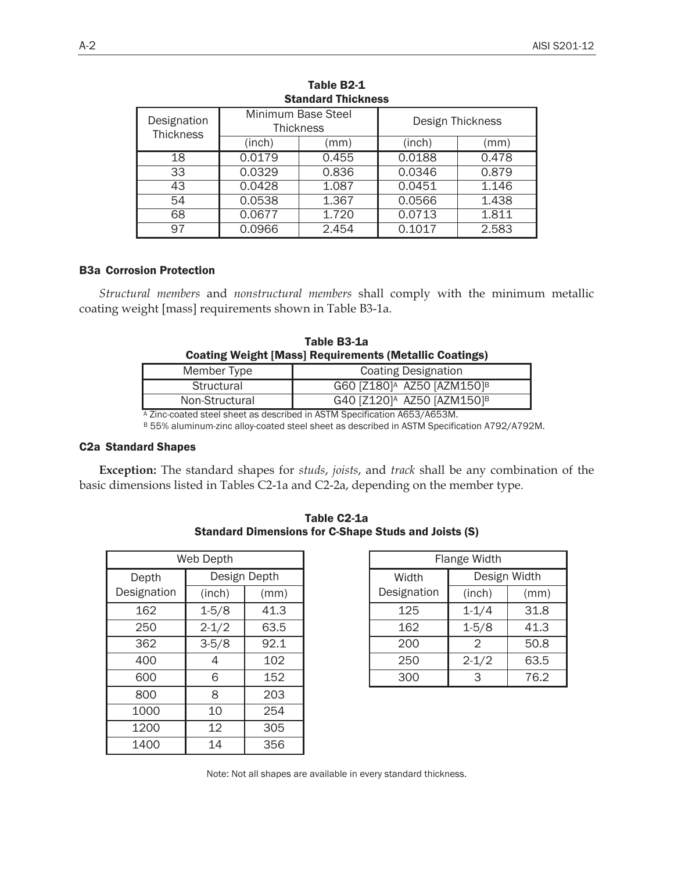| Designation<br><b>Thickness</b> | Minimum Base Steel | <b>Thickness</b> | Design Thickness |       |  |
|---------------------------------|--------------------|------------------|------------------|-------|--|
|                                 | (inch)             | (mm)             | (inch)           | (mm)  |  |
| 18                              | 0.0179             | 0.455            | 0.0188           | 0.478 |  |
| 33                              | 0.0329             | 0.836            | 0.0346           | 0.879 |  |
| 43                              | 0.0428             | 1.087            | 0.0451           | 1.146 |  |
| 54                              | 0.0538             | 1.367            | 0.0566           | 1.438 |  |
| 68                              | 0.0677             | 1.720            | 0.0713           | 1.811 |  |
| 97                              | 0.0966             | 2.454            | 0.1017           | 2.583 |  |

Table B2-1 Standard Thickness

#### B3a Corrosion Protection

*Structural members* and *nonstructural members* shall comply with the minimum metallic coating weight [mass] requirements shown in Table B3-1a.

| Table B3-1a                                                   |
|---------------------------------------------------------------|
| <b>Coating Weight [Mass] Requirements (Metallic Coatings)</b> |
|                                                               |

| Member Type    | Coating Designation                                                              |
|----------------|----------------------------------------------------------------------------------|
| Structural     | G60 [Z180] <sup>A</sup> AZ50 [AZM150] <sup>B</sup>                               |
| Non-Structural | G40 [Z120]A AZ50 [AZM150]B                                                       |
|                | $\Lambda$ Zine sected steel sheet as described in ACTM Crestfiestion ACEO (ACEOM |

A Zinc-coated steel sheet as described in ASTM Specification A653/A653M.

B 55% aluminum-zinc alloy-coated steel sheet as described in ASTM Specification A792/A792M.

## C2a Standard Shapes

**Exception:** The standard shapes for *studs*, *joists*, and *track* shall be any combination of the basic dimensions listed in Tables C2-1a and C2-2a, depending on the member type.

|             | Web Depth |              |  |
|-------------|-----------|--------------|--|
| Depth       |           | Design Depth |  |
| Designation | (inch)    | (mm)         |  |
| 162         | $1 - 5/8$ | 41.3         |  |
| 250         | $2 - 1/2$ | 63.5         |  |
| 362         | $3 - 5/8$ | 92.1         |  |
| 400         | 4         | 102          |  |
| 600         | 6         | 152          |  |
| 800         | 8         | 203          |  |
| 1000        | 10        | 254          |  |
| 1200        | 12        | 305          |  |
| 1400        | 14        | 356          |  |

Table C2-1a Standard Dimensions for C-Shape Studs and Joists (S)

| Web Depth |              | Flange Width |             |           |              |
|-----------|--------------|--------------|-------------|-----------|--------------|
| Depth     | Design Depth |              | Width       |           | Design Width |
| signation | (inch)       | (mm)         | Designation | (inch)    | (mm)         |
| 162       | $1 - 5/8$    | 41.3         | 125         | $1 - 1/4$ | 31.8         |
| 250       | $2 - 1/2$    | 63.5         | 162         | $1 - 5/8$ | 41.3         |
| 362       | $3-5/8$      | 92.1         | 200         | 2         | 50.8         |
| 400       | 4            | 102          | 250         | $2 - 1/2$ | 63.5         |
| 600       | 6            | 152          | 300         | 3         | 76.2         |
|           |              |              |             |           |              |

Note: Not all shapes are available in every standard thickness.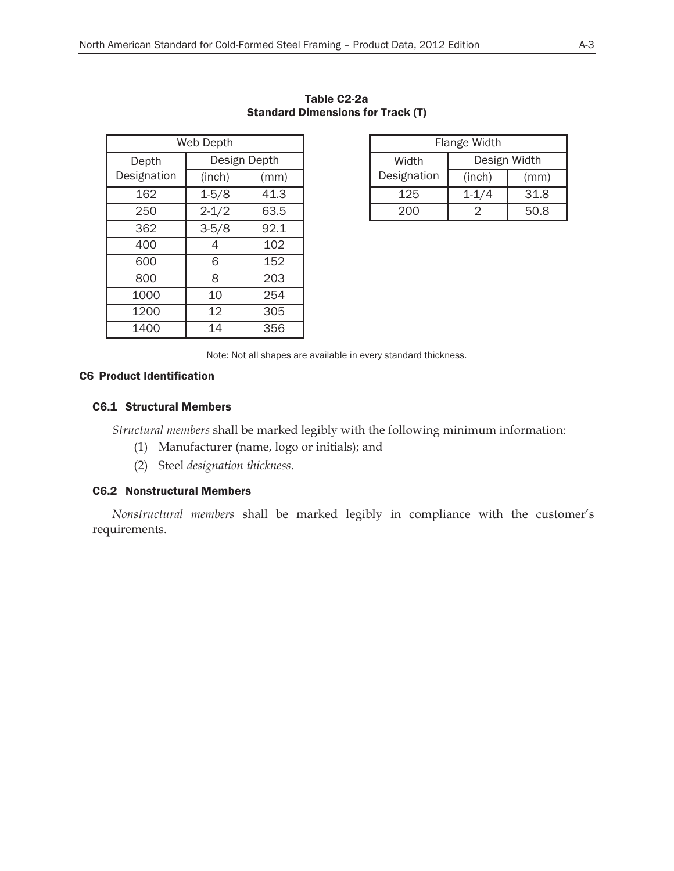| Web Depth   |              |      | Flange Width |              |      |
|-------------|--------------|------|--------------|--------------|------|
| Depth       | Design Depth |      | Width        | Design Width |      |
| Designation | (inch)       | (mm) | Designation  | (inch)       | (mm) |
| 162         | $1 - 5/8$    | 41.3 | 125          | $1 - 1/4$    | 31.8 |
| 250         | $2 - 1/2$    | 63.5 | 200          | 2            | 50.8 |
| 362         | $3-5/8$      | 92.1 |              |              |      |
| 400         | 4            | 102  |              |              |      |
| 600         | 6            | 152  |              |              |      |
| 800         | 8            | 203  |              |              |      |
| 1000        | 10           | 254  |              |              |      |
| 1200        | 12           | 305  |              |              |      |
| 1400        | 14           | 356  |              |              |      |

| Table C <sub>2</sub> -2a |                                          |  |  |  |  |
|--------------------------|------------------------------------------|--|--|--|--|
|                          | <b>Standard Dimensions for Track (T)</b> |  |  |  |  |

| Web Depth |              |      |       | Flange Width |              |      |
|-----------|--------------|------|-------|--------------|--------------|------|
| Depth     | Design Depth |      | Width |              | Design Width |      |
| signation | (inch)       | mm)  |       | Designation  | (inch)       | (mm) |
| 162       | $1 - 5/8$    | 41.3 |       | 125          | $1 - 1/4$    | 31.8 |
| 250       | $2 - 1/2$    | 63.5 |       | 200          |              | 50.8 |

Note: Not all shapes are available in every standard thickness.

# C6 Product Identification

## C6.1 Structural Members

*Structural members* shall be marked legibly with the following minimum information:

- (1) Manufacturer (name, logo or initials); and
- (2) Steel *designation thickness*.

## C6.2 Nonstructural Members

*Nonstructural members* shall be marked legibly in compliance with the customer's requirements.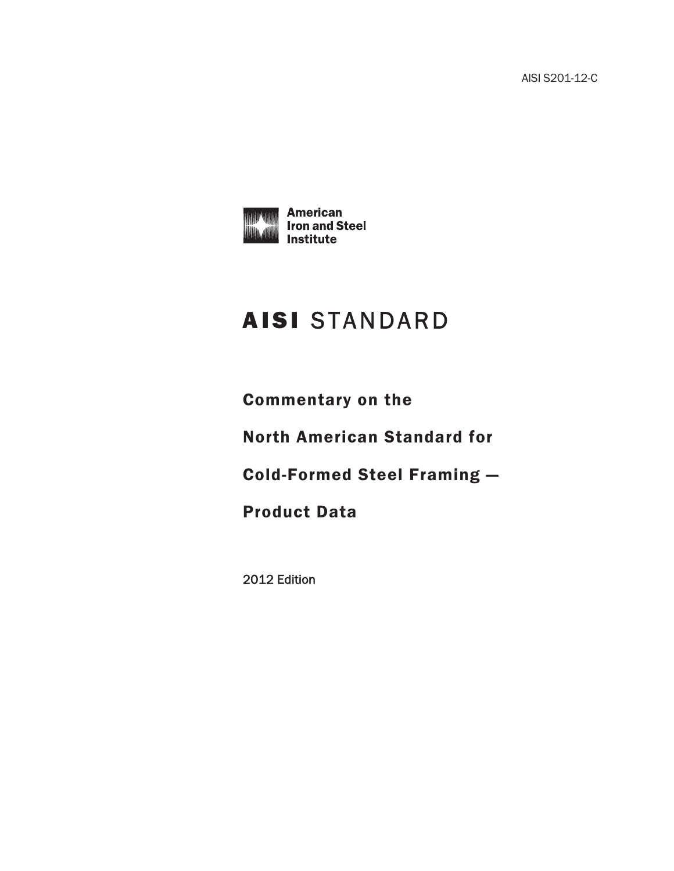AISI S201-12-C



# AISI STANDARD

Commentary on the

North American Standard for

Cold-Formed Steel Framing —

Product Data

2012 Edition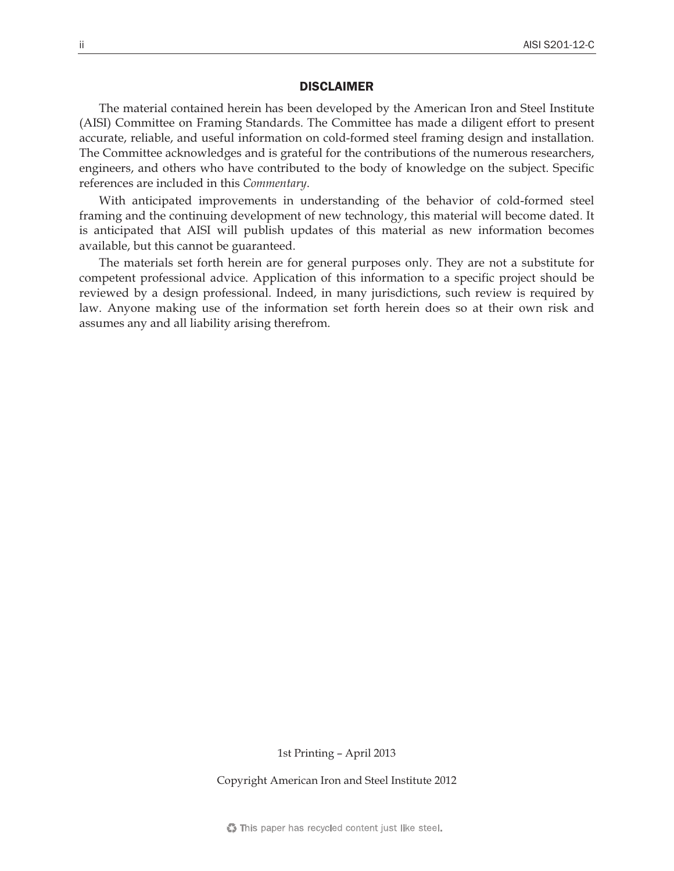## DISCLAIMER

The material contained herein has been developed by the American Iron and Steel Institute (AISI) Committee on Framing Standards. The Committee has made a diligent effort to present accurate, reliable, and useful information on cold-formed steel framing design and installation. The Committee acknowledges and is grateful for the contributions of the numerous researchers, engineers, and others who have contributed to the body of knowledge on the subject. Specific references are included in this *Commentary*.

With anticipated improvements in understanding of the behavior of cold-formed steel framing and the continuing development of new technology, this material will become dated. It is anticipated that AISI will publish updates of this material as new information becomes available, but this cannot be guaranteed.

The materials set forth herein are for general purposes only. They are not a substitute for competent professional advice. Application of this information to a specific project should be reviewed by a design professional. Indeed, in many jurisdictions, such review is required by law. Anyone making use of the information set forth herein does so at their own risk and assumes any and all liability arising therefrom.

1st Printing – April 2013

Copyright American Iron and Steel Institute 2012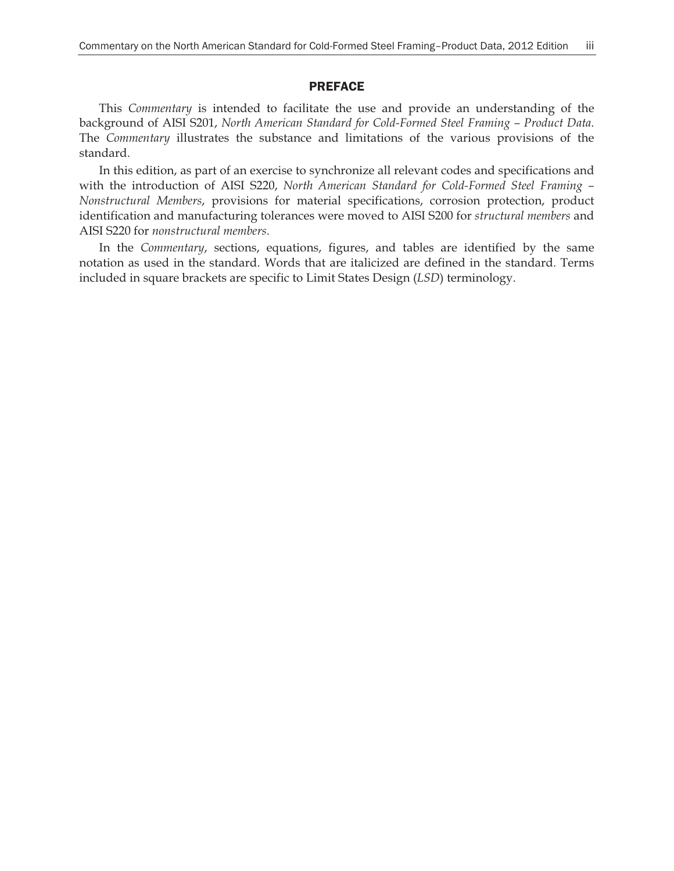## PREFACE

This *Commentary* is intended to facilitate the use and provide an understanding of the background of AISI S201, *North American Standard for Cold-Formed Steel Framing – Product Data*. The *Commentary* illustrates the substance and limitations of the various provisions of the standard.

In this edition, as part of an exercise to synchronize all relevant codes and specifications and with the introduction of AISI S220, *North American Standard for Cold-Formed Steel Framing – Nonstructural Members*, provisions for material specifications, corrosion protection, product identification and manufacturing tolerances were moved to AISI S200 for *structural members* and AISI S220 for *nonstructural members*.

In the *Commentary*, sections, equations, figures, and tables are identified by the same notation as used in the standard. Words that are italicized are defined in the standard. Terms included in square brackets are specific to Limit States Design (*LSD*) terminology.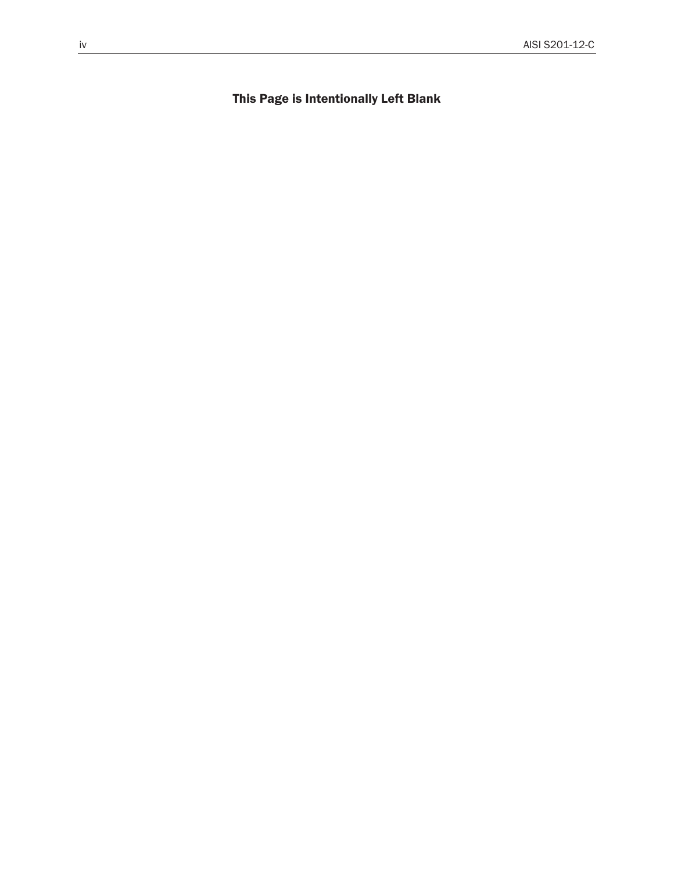This Page is Intentionally Left Blank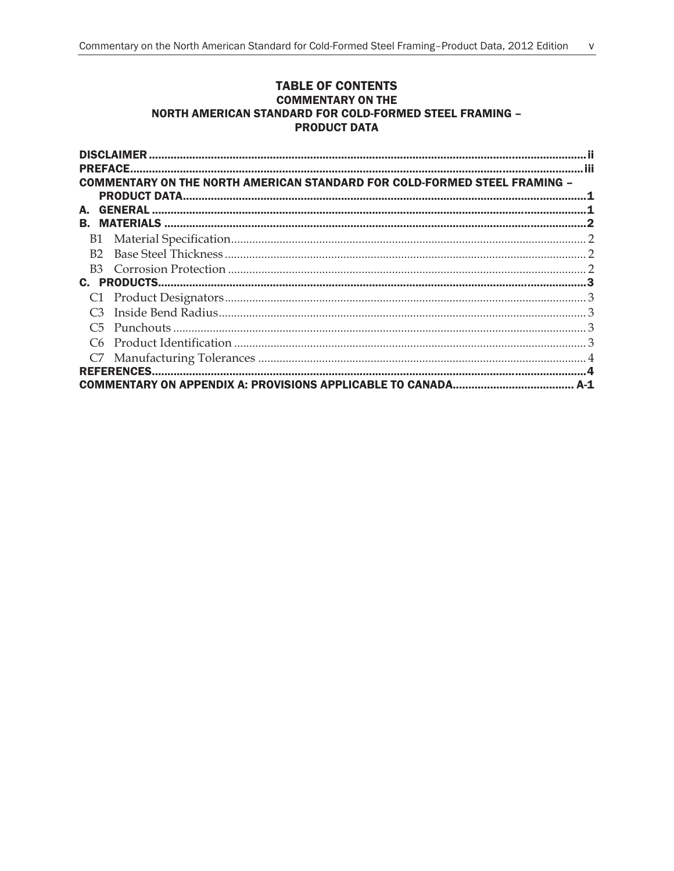# **TABLE OF CONTENTS COMMENTARY ON THE** NORTH AMERICAN STANDARD FOR COLD-FORMED STEEL FRAMING -**PRODUCT DATA**

| <b>PREFACE</b>                                                                   | .iii |
|----------------------------------------------------------------------------------|------|
| <b>COMMENTARY ON THE NORTH AMERICAN STANDARD FOR COLD-FORMED STEEL FRAMING -</b> |      |
|                                                                                  |      |
| <b>GENERAL</b><br>А.                                                             |      |
|                                                                                  |      |
|                                                                                  |      |
|                                                                                  |      |
|                                                                                  |      |
|                                                                                  |      |
|                                                                                  |      |
|                                                                                  |      |
|                                                                                  |      |
|                                                                                  |      |
|                                                                                  |      |
| <b>REFERENCES</b>                                                                |      |
|                                                                                  |      |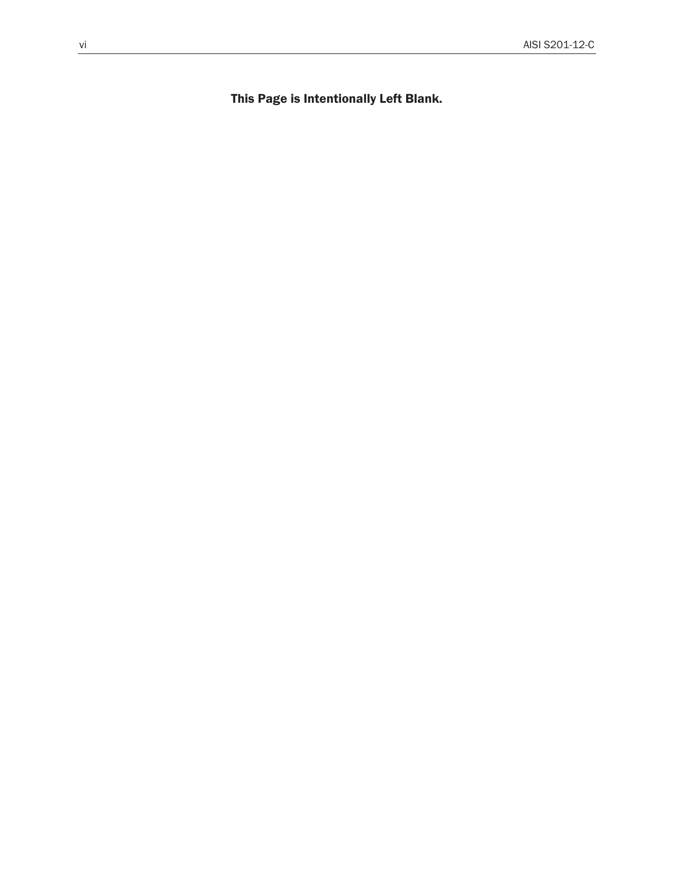This Page is Intentionally Left Blank.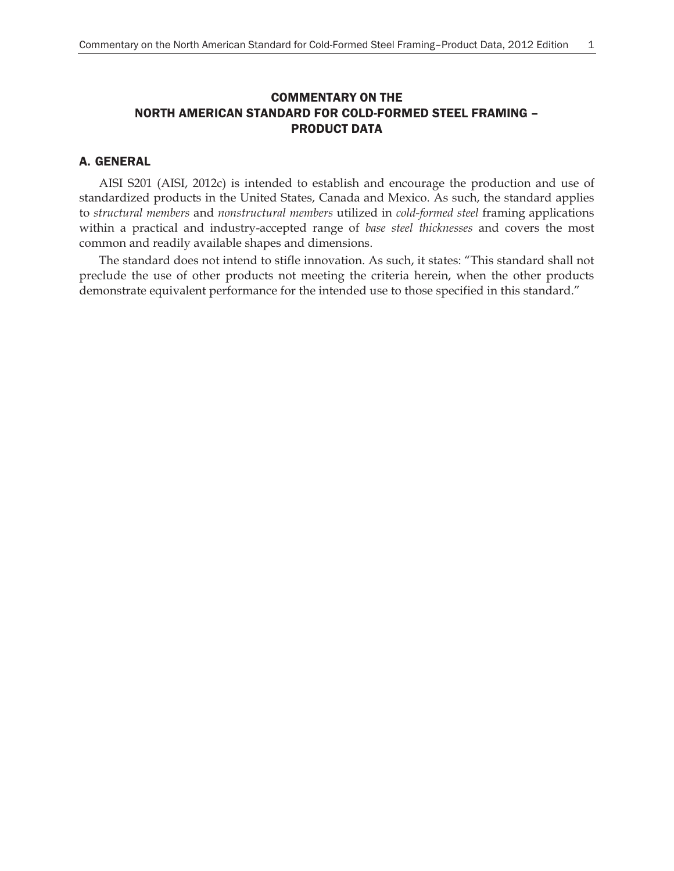# COMMENTARY ON THE NORTH AMERICAN STANDARD FOR COLD-FORMED STEEL FRAMING – PRODUCT DATA

# A. GENERAL

AISI S201 (AISI, 2012c) is intended to establish and encourage the production and use of standardized products in the United States, Canada and Mexico. As such, the standard applies to *structural members* and *nonstructural members* utilized in *cold-formed steel* framing applications within a practical and industry-accepted range of *base steel thicknesses* and covers the most common and readily available shapes and dimensions.

The standard does not intend to stifle innovation. As such, it states: "This standard shall not preclude the use of other products not meeting the criteria herein, when the other products demonstrate equivalent performance for the intended use to those specified in this standard."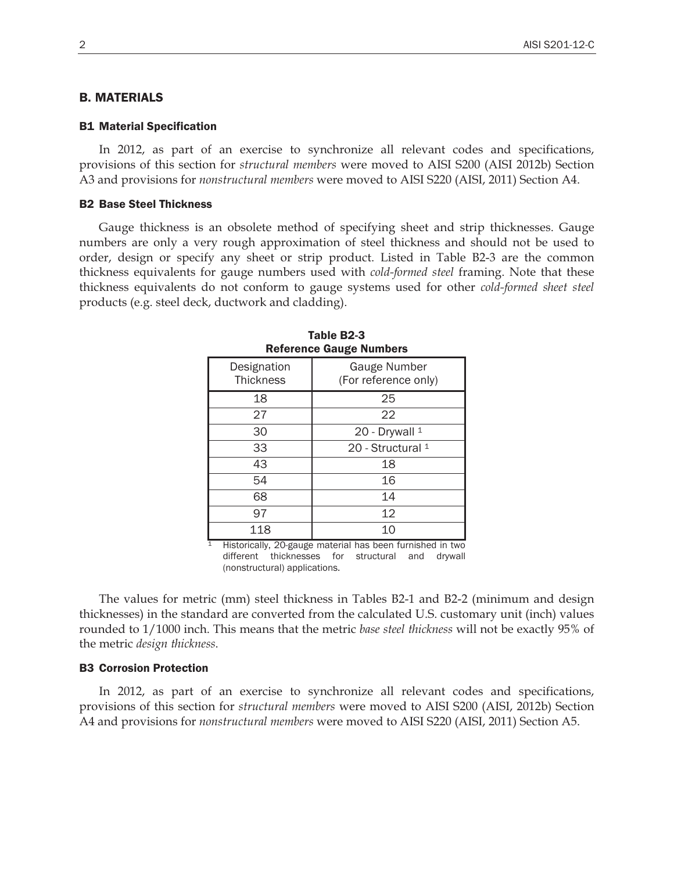## B. MATERIALS

#### B1 Material Specification

In 2012, as part of an exercise to synchronize all relevant codes and specifications, provisions of this section for *structural members* were moved to AISI S200 (AISI 2012b) Section A3 and provisions for *nonstructural members* were moved to AISI S220 (AISI, 2011) Section A4.

#### B2 Base Steel Thickness

Gauge thickness is an obsolete method of specifying sheet and strip thicknesses. Gauge numbers are only a very rough approximation of steel thickness and should not be used to order, design or specify any sheet or strip product. Listed in Table B2-3 are the common thickness equivalents for gauge numbers used with *cold-formed steel* framing. Note that these thickness equivalents do not conform to gauge systems used for other *cold-formed sheet steel* products (e.g. steel deck, ductwork and cladding).

| <b>Reference gauge Numbers</b>                                                                                                 |                                      |  |  |  |
|--------------------------------------------------------------------------------------------------------------------------------|--------------------------------------|--|--|--|
| Designation<br><b>Thickness</b>                                                                                                | Gauge Number<br>(For reference only) |  |  |  |
| 18                                                                                                                             | 25                                   |  |  |  |
| 27                                                                                                                             | 22                                   |  |  |  |
| 30                                                                                                                             | 20 - Drywall 1                       |  |  |  |
| 33                                                                                                                             | 20 - Structural 1                    |  |  |  |
| 43                                                                                                                             | 18                                   |  |  |  |
| 54                                                                                                                             | 16                                   |  |  |  |
| 68                                                                                                                             | 14                                   |  |  |  |
| 97                                                                                                                             | 12                                   |  |  |  |
| 118                                                                                                                            | 10                                   |  |  |  |
| $\mathbf{1}$<br>Historically, 20-gauge material has been furnished in two<br>different thiologonoge for atrustural and draugll |                                      |  |  |  |

| Table B2-3                     |  |
|--------------------------------|--|
| <b>Reference Gauge Numbers</b> |  |

different thicknesses for structural and drywall (nonstructural) applications.

The values for metric (mm) steel thickness in Tables B2-1 and B2-2 (minimum and design thicknesses) in the standard are converted from the calculated U.S. customary unit (inch) values rounded to 1/1000 inch. This means that the metric *base steel thickness* will not be exactly 95% of the metric *design thickness*.

#### B3 Corrosion Protection

In 2012, as part of an exercise to synchronize all relevant codes and specifications, provisions of this section for *structural members* were moved to AISI S200 (AISI, 2012b) Section A4 and provisions for *nonstructural members* were moved to AISI S220 (AISI, 2011) Section A5.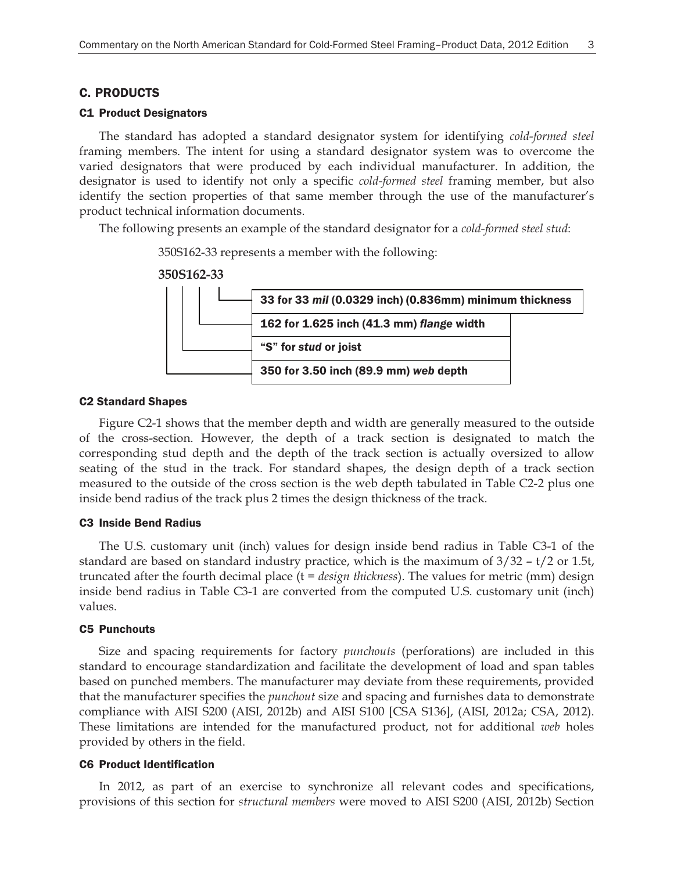## C. PRODUCTS

#### C1 Product Designators

The standard has adopted a standard designator system for identifying *cold-formed steel* framing members. The intent for using a standard designator system was to overcome the varied designators that were produced by each individual manufacturer. In addition, the designator is used to identify not only a specific *cold-formed steel* framing member, but also identify the section properties of that same member through the use of the manufacturer's product technical information documents.

The following presents an example of the standard designator for a *cold-formed steel stud*:

350S162-33 represents a member with the following:



 **350S162-33** 

#### C2 Standard Shapes

Figure C2-1 shows that the member depth and width are generally measured to the outside of the cross-section. However, the depth of a track section is designated to match the corresponding stud depth and the depth of the track section is actually oversized to allow seating of the stud in the track. For standard shapes, the design depth of a track section measured to the outside of the cross section is the web depth tabulated in Table C2-2 plus one inside bend radius of the track plus 2 times the design thickness of the track.

### C3 Inside Bend Radius

The U.S. customary unit (inch) values for design inside bend radius in Table C3-1 of the standard are based on standard industry practice, which is the maximum of 3/32 – t/2 or 1.5t, truncated after the fourth decimal place (t = *design thickness*). The values for metric (mm) design inside bend radius in Table C3-1 are converted from the computed U.S. customary unit (inch) values.

### C5 Punchouts

Size and spacing requirements for factory *punchouts* (perforations) are included in this standard to encourage standardization and facilitate the development of load and span tables based on punched members. The manufacturer may deviate from these requirements, provided that the manufacturer specifies the *punchout* size and spacing and furnishes data to demonstrate compliance with AISI S200 (AISI, 2012b) and AISI S100 [CSA S136], (AISI, 2012a; CSA, 2012). These limitations are intended for the manufactured product, not for additional *web* holes provided by others in the field.

### C6 Product Identification

In 2012, as part of an exercise to synchronize all relevant codes and specifications, provisions of this section for *structural members* were moved to AISI S200 (AISI, 2012b) Section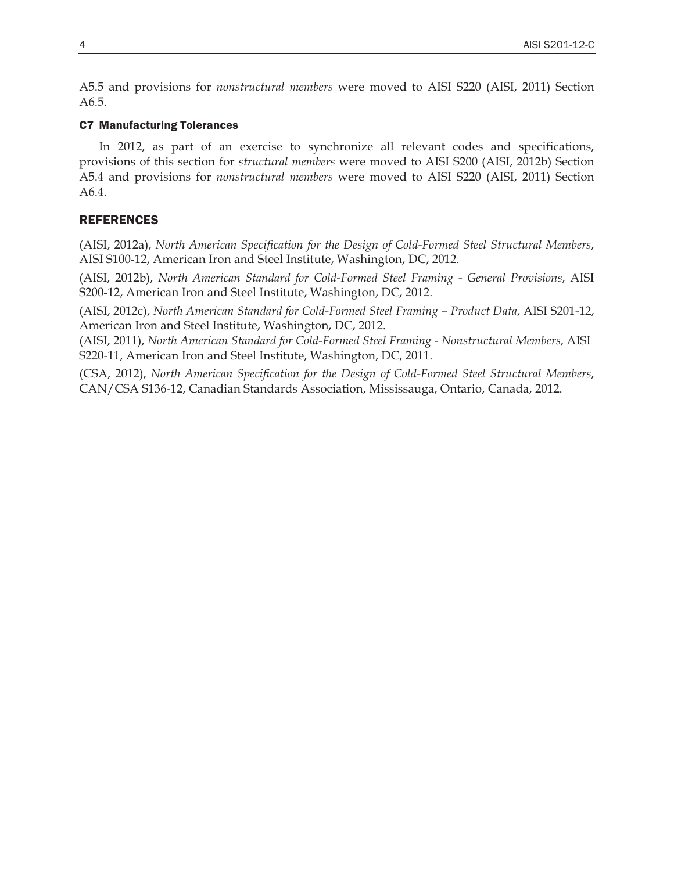A5.5 and provisions for *nonstructural members* were moved to AISI S220 (AISI, 2011) Section A6.5.

#### C7 Manufacturing Tolerances

In 2012, as part of an exercise to synchronize all relevant codes and specifications, provisions of this section for *structural members* were moved to AISI S200 (AISI, 2012b) Section A5.4 and provisions for *nonstructural members* were moved to AISI S220 (AISI, 2011) Section A6.4.

#### REFERENCES

(AISI, 2012a), *North American Specification for the Design of Cold-Formed Steel Structural Members*, AISI S100-12, American Iron and Steel Institute, Washington, DC, 2012.

(AISI, 2012b), *North American Standard for Cold-Formed Steel Framing - General Provisions*, AISI S200-12, American Iron and Steel Institute, Washington, DC, 2012.

(AISI, 2012c), *North American Standard for Cold-Formed Steel Framing – Product Data*, AISI S201-12, American Iron and Steel Institute, Washington, DC, 2012.

(AISI, 2011), *North American Standard for Cold-Formed Steel Framing - Nonstructural Members*, AISI S220-11, American Iron and Steel Institute, Washington, DC, 2011.

(CSA, 2012), *North American Specification for the Design of Cold-Formed Steel Structural Members*, CAN/CSA S136-12, Canadian Standards Association, Mississauga, Ontario, Canada, 2012.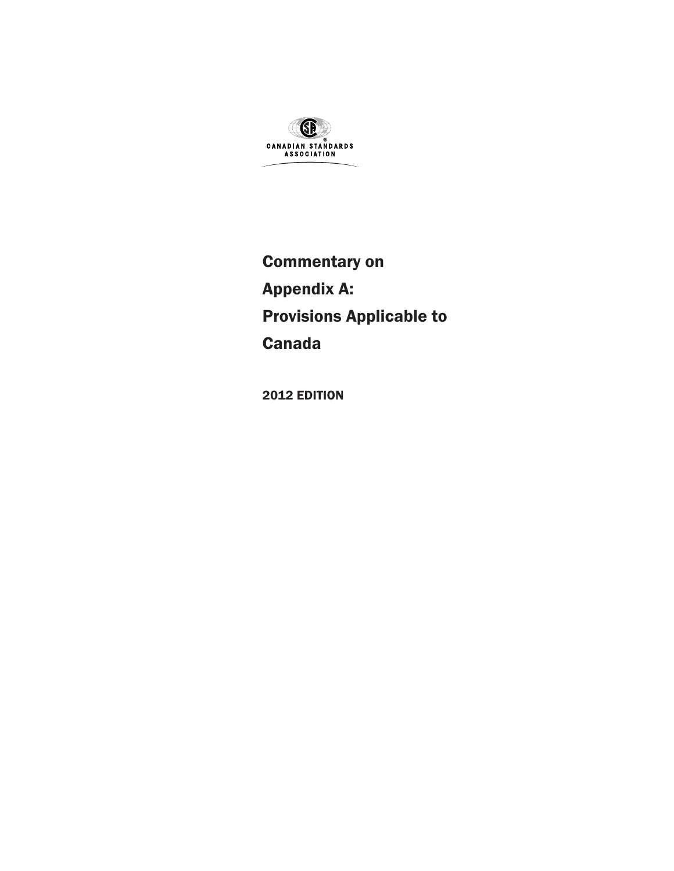

Commentary on Appendix A: Provisions Applicable to **Canada** 

2012 EDITION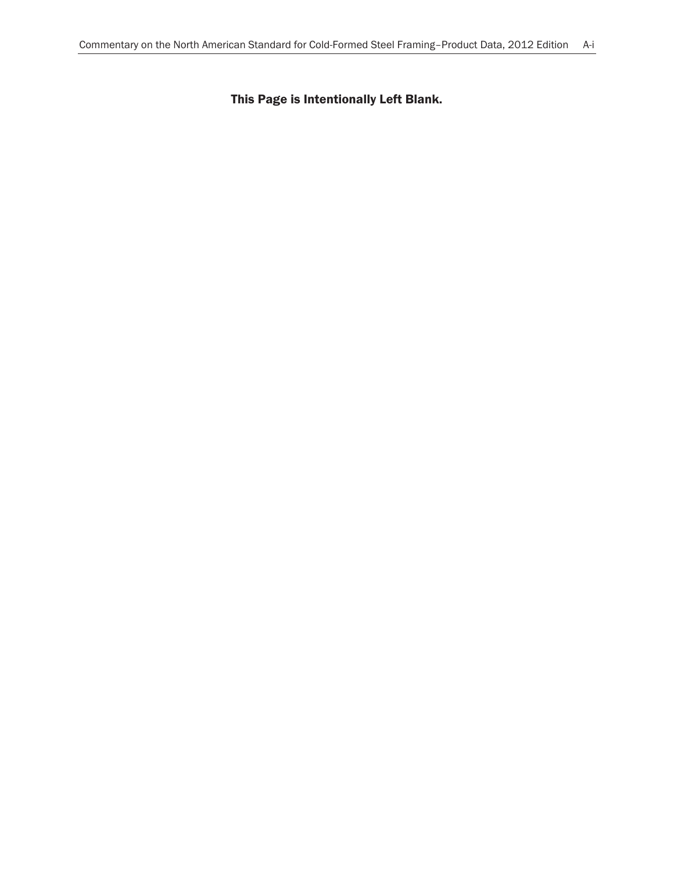This Page is Intentionally Left Blank.